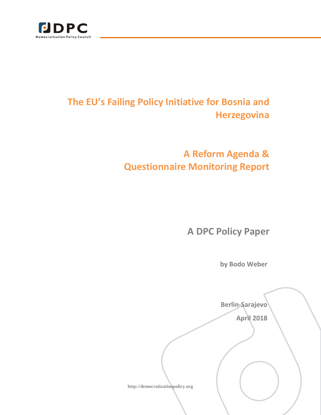

# **The EU's Failing Policy Initiative for Bosnia and Herzegovina**

# **A Reform Agenda & Questionnaire Monitoring Report**

**A DPC Policy Paper**

**by Bodo Weber**

**http://democratizationpolicy.org Berlin-Sarajevo April 2018**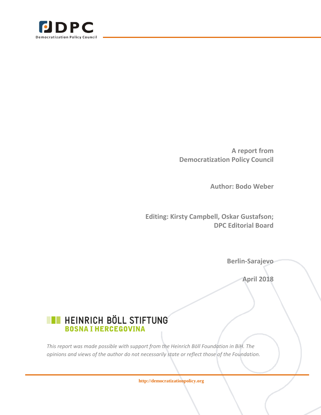

**A report from Democratization Policy Council**

**Author: Bodo Weber**

**Editing: Kirsty Campbell, Oskar Gustafson; DPC Editorial Board** 

**Berlin-Sarajevo** 

**April 2018**

# **EXECUTE HEINRICH BÖLL STIFTUNG BOSNA I HERCEGOVINA**

*This report was made possible with support from the Heinrich Böll Foundation in BiH. The opinions and views of the author do not necessarily state or reflect those of the Foundation.*

**http://democratizationpolicy.org**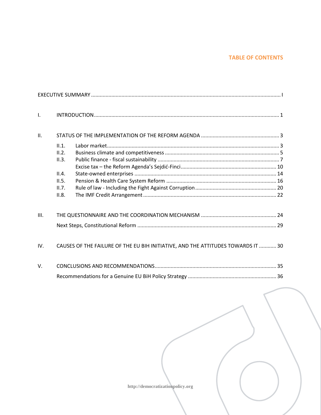# **TABLE OF CONTENTS**

| I.   |       |                                                                                  |  |
|------|-------|----------------------------------------------------------------------------------|--|
| II.  |       |                                                                                  |  |
|      | II.1. |                                                                                  |  |
|      | II.2. |                                                                                  |  |
|      | II.3. |                                                                                  |  |
|      |       |                                                                                  |  |
|      | II.4. |                                                                                  |  |
|      | II.5. |                                                                                  |  |
|      | II.7. |                                                                                  |  |
|      | II.8. |                                                                                  |  |
| III. |       |                                                                                  |  |
|      |       |                                                                                  |  |
|      |       |                                                                                  |  |
| IV.  |       | CAUSES OF THE FAILURE OF THE EU BIH INITIATIVE, AND THE ATTITUDES TOWARDS IT  30 |  |
| V.   |       |                                                                                  |  |
|      |       |                                                                                  |  |
|      |       |                                                                                  |  |

**http://democratizationpolicy.org**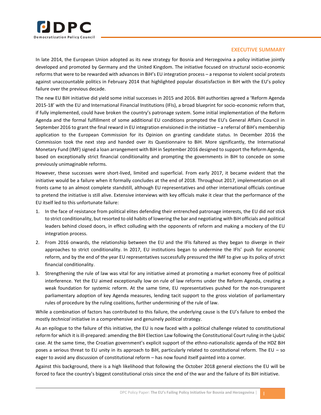

#### **EXECUTIVE SUMMARY**

<span id="page-3-0"></span>In late 2014, the European Union adopted as its new strategy for Bosnia and Herzegovina a policy initiative jointly developed and promoted by Germany and the United Kingdom. The initiative focused on structural socio-economic reforms that were to be rewarded with advances in BiH's EU integration process – a response to violent social protests against unaccountable politics in February 2014 that highlighted popular dissatisfaction in BiH with the EU's policy failure over the previous decade.

The new EU BiH initiative did yield some initial successes in 2015 and 2016. BiH authorities agreed a 'Reform Agenda 2015-18' with the EU and International Financial Institutions (IFIs), a broad blueprint for socio-economic reform that, if fully implemented, could have broken the country's patronage system. Some initial implementation of the Reform Agenda and the formal fulfillment of some additional EU conditions prompted the EU's General Affairs Council in September 2016 to grant the final reward in EU integration envisioned in the initiative – a referral of BiH's membership application to the European Commission for its Opinion on granting candidate status. In December 2016 the Commission took the next step and handed over its Questionnaire to BiH. More significantly, the International Monetary Fund (IMF) signed a loan arrangement with BiH in September 2016 designed to support the Reform Agenda, based on exceptionally strict financial conditionality and prompting the governments in BiH to concede on some previously unimaginable reforms.

However, these successes were short-lived, limited and superficial. From early 2017, it became evident that the initiative would be a failure when it formally concludes at the end of 2018. Throughout 2017, implementation on all fronts came to an almost complete standstill, although EU representatives and other international officials continue to pretend the initiative is still alive. Extensive interviews with key officials make it clear that the performance of the EU itself led to this unfortunate failure:

- 1. In the face of resistance from political elites defending their entrenched patronage interests, the EU did *not* stick to strict conditionality, but resorted to old habits of lowering the bar and negotiating with BiH officials and political leaders behind closed doors, in effect colluding with the opponents of reform and making a mockery of the EU integration process.
- 2. From 2016 onwards, the relationship between the EU and the IFIs faltered as they began to diverge in their approaches to strict conditionality. In 2017, EU institutions began to undermine the IFIs' push for economic reform, and by the end of the year EU representatives successfully pressured the IMF to give up its policy of strict financial conditionality.
- 3. Strengthening the rule of law was vital for any initiative aimed at promoting a market economy free of political interference. Yet the EU aimed exceptionally low on rule of law reforms under the Reform Agenda, creating a weak foundation for systemic reform. At the same time, EU representatives pushed for the non-transparent parliamentary adoption of key Agenda measures, lending tacit support to the gross violation of parliamentary rules of procedure by the ruling coalitions, further undermining of the rule of law.

While a combination of factors has contributed to this failure, the underlying cause is the EU's failure to embed the mostly *technical* initiative in a comprehensive and genuinely *political* strategy.

As an epilogue to the failure of this initiative, the EU is now faced with a political challenge related to constitutional reform for which it is ill-prepared: amending the BiH Election Law following the Constitutional Court ruling in the Ljubić case. At the same time, the Croatian government's explicit support of the ethno-nationalistic agenda of the HDZ BiH poses a serious threat to EU unity in its approach to BiH, particularly related to constitutional reform. The EU – so eager to avoid any discussion of constitutional reform – has now found itself painted into a corner.

Against this background, there is a high likelihood that following the October 2018 general elections the EU will be forced to face the country's biggest constitutional crisis since the end of the war and the failure of its BiH initiative.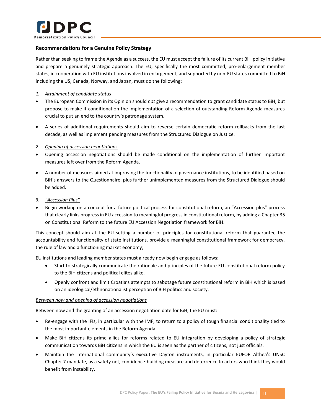

#### **Recommendations for a Genuine Policy Strategy**

Rather than seeking to frame the Agenda as a success, the EU must accept the failure of its current BiH policy initiative and prepare a genuinely strategic approach. The EU, specifically the most committed, pro-enlargement member states, in cooperation with EU institutions involved in enlargement, and supported by non-EU states committed to BiH including the US, Canada, Norway, and Japan, must do the following:

- *1. Attainment of candidate status*
- The European Commission in its Opinion should *not* give a recommendation to grant candidate status to BiH, but propose to make it conditional on the implementation of a selection of outstanding Reform Agenda measures crucial to put an end to the country's patronage system.
- A series of additional requirements should aim to reverse certain democratic reform rollbacks from the last decade, as well as implement pending measures from the Structured Dialogue on Justice.
- *2. Opening of accession negotiations*
- Opening accession negotiations should be made conditional on the implementation of further important measures left over from the Reform Agenda.
- A number of measures aimed at improving the functionality of governance institutions, to be identified based on BiH's answers to the Questionnaire, plus further unimplemented measures from the Structured Dialogue should be added.
- *3. "Accession Plus"*
- Begin working on a concept for a future political process for constitutional reform, an "Accession plus" process that clearly links progress in EU accession to meaningful progress in constitutional reform, by adding a Chapter 35 on Constitutional Reform to the future EU Accession Negotiation framework for BiH.

This concept should aim at the EU setting a number of principles for constitutional reform that guarantee the accountability and functionality of state institutions, provide a meaningful constitutional framework for democracy, the rule of law and a functioning market economy;

EU institutions and leading member states must already now begin engage as follows:

- Start to strategically communicate the rationale and principles of the future EU constitutional reform policy to the BiH citizens and political elites alike.
- Openly confront and limit Croatia's attempts to sabotage future constitutional reform in BiH which is based on an ideological/ethnonationalist perception of BiH politics and society.

#### *Between now and opening of accession negotiations*

Between now and the granting of an accession negotiation date for BiH, the EU must:

- Re-engage with the IFIs, in particular with the IMF, to return to a policy of tough financial conditionality tied to the most important elements in the Reform Agenda.
- Make BiH citizens its prime allies for reforms related to EU integration by developing a policy of strategic communication towards BiH citizens in which the EU is seen as the partner of citizens, not just officials.
- Maintain the international community's executive Dayton instruments, in particular EUFOR Althea's UNSC Chapter 7 mandate, as a safety net, confidence-building measure and deterrence to actors who think they would benefit from instability.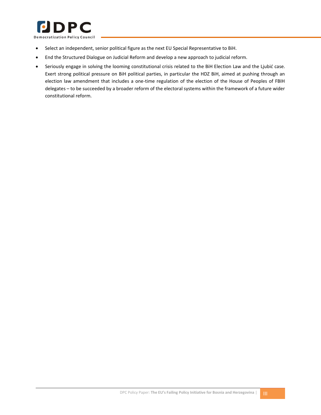

- Select an independent, senior political figure as the next EU Special Representative to BiH.
- End the Structured Dialogue on Judicial Reform and develop a new approach to judicial reform.
- Seriously engage in solving the looming constitutional crisis related to the BiH Election Law and the Ljubić case. Exert strong political pressure on BiH political parties, in particular the HDZ BiH, aimed at pushing through an election law amendment that includes a one-time regulation of the election of the House of Peoples of FBIH delegates – to be succeeded by a broader reform of the electoral systems within the framework of a future wider constitutional reform.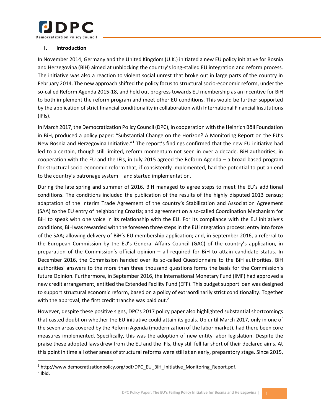

# <span id="page-6-0"></span>**I. Introduction**

 $\overline{\phantom{a}}$ 

In November 2014, Germany and the United Kingdom (U.K.) initiated a new EU policy initiative for Bosnia and Herzegovina (BiH) aimed at unblocking the country's long-stalled EU integration and reform process. The initiative was also a reaction to violent social unrest that broke out in large parts of the country in February 2014. The new approach shifted the policy focus to structural socio-economic reform, under the so-called Reform Agenda 2015-18, and held out progress towards EU membership as an incentive for BiH to both implement the reform program and meet other EU conditions. This would be further supported by the application of strict financial conditionality in collaboration with International Financial Institutions (IFIs).

In March 2017, the Democratization Policy Council (DPC), in cooperation with the Heinrich Böll Foundation in BiH, produced a policy paper: "Substantial Change on the Horizon? A Monitoring Report on the EU's New Bosnia and Herzegovina Initiative."<sup>1</sup> The report's findings confirmed that the new EU initiative had led to a certain, though still limited, reform momentum not seen in over a decade. BiH authorities, in cooperation with the EU and the IFIs, in July 2015 agreed the Reform Agenda – a broad-based program for structural socio-economic reform that, if consistently implemented, had the potential to put an end to the country's patronage system – and started implementation.

During the late spring and summer of 2016, BiH managed to agree steps to meet the EU's additional conditions. The conditions included the publication of the results of the highly disputed 2013 census; adaptation of the Interim Trade Agreement of the country's Stabilization and Association Agreement (SAA) to the EU entry of neighboring Croatia; and agreement on a so-called Coordination Mechanism for BiH to speak with one voice in its relationship with the EU. For its compliance with the EU initiative's conditions, BiH was rewarded with the foreseen three steps in the EU integration process: entry into force of the SAA; allowing delivery of BiH's EU membership application; and, in September 2016, a referral to the European Commission by the EU's General Affairs Council (GAC) of the country's application, in preparation of the Commission's official opinion – all required for BiH to attain candidate status. In December 2016, the Commission handed over its so-called Questionnaire to the BiH authorities. BiH authorities' answers to the more than three thousand questions forms the basis for the Commission's future Opinion. Furthermore, in September 2016, the International Monetary Fund (IMF) had approved a new credit arrangement, entitled the Extended Facility Fund (EFF). This budget support loan was designed to support structural economic reform, based on a policy of extraordinarily strict conditionality. Together with the approval, the first credit tranche was paid out.<sup>2</sup>

However, despite these positive signs, DPC's 2017 policy paper also highlighted substantial shortcomings that casted doubt on whether the EU initiative could attain its goals. Up until March 2017, only in one of the seven areas covered by the Reform Agenda (modernization of the labor market), had there been core measures implemented. Specifically, this was the adoption of new entity labor legislation. Despite the praise these adopted laws drew from the EU and the IFIs, they still fell far short of their declared aims. At this point in time all other areas of structural reforms were still at an early, preparatory stage. Since 2015,

<sup>&</sup>lt;sup>1</sup> http://www.democratizationpolicy.org/pdf/DPC\_EU\_BiH\_Initiative\_Monitoring\_Report.pdf.  $<sup>2</sup>$  Ibid.</sup>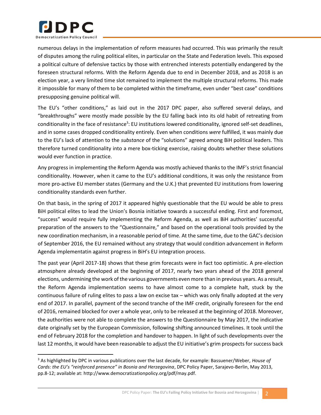

 $\overline{a}$ 

numerous delays in the implementation of reform measures had occurred. This was primarily the result of disputes among the ruling political elites, in particular on the State and Federation levels. This exposed a political culture of defensive tactics by those with entrenched interests potentially endangered by the foreseen structural reforms. With the Reform Agenda due to end in December 2018, and as 2018 is an election year, a very limited time slot remained to implement the multiple structural reforms. This made it impossible for many of them to be completed within the timeframe, even under "best case" conditions presupposing genuine political will.

The EU's "other conditions," as laid out in the 2017 DPC paper, also suffered several delays, and "breakthroughs" were mostly made possible by the EU falling back into its old habit of retreating from conditionality in the face of resistance<sup>3</sup>: EU institutions lowered conditionality, ignored self-set deadlines, and in some cases dropped conditionality entirely. Even when conditions *were* fulfilled, it was mainly due to the EU's lack of attention to the *substance* of the "solutions" agreed among BiH political leaders. This therefore turned conditionality into a mere box-ticking exercise, raising doubts whether these solutions would ever function in practice.

Any progress in implementing the Reform Agenda was mostly achieved thanks to the IMF's strict financial conditionality. However, when it came to the EU's additional conditions, it was only the resistance from more pro-active EU member states (Germany and the U.K.) that prevented EU institutions from lowering conditionality standards even further.

On that basis, in the spring of 2017 it appeared highly questionable that the EU would be able to press BiH political elites to lead the Union's Bosnia initiative towards a successful ending. First and foremost, "success" would require fully implementing the Reform Agenda, as well as BiH authorities' successful preparation of the answers to the "Questionnaire," and based on the operational tools provided by the new coordination mechanism, in a reasonable period of time. At the same time, due to the GAC's decision of September 2016, the EU remained without any strategy that would condition advancement in Reform Agenda implementatin against progress in BiH's EU integration process.

The past year (April 2017-18) shows that these grim forecasts were in fact too optimistic. A pre-election atmosphere already developed at the beginning of 2017, nearly two years ahead of the 2018 general elections, undermining the work of the various governments even more than in previous years. As a result, the Reform Agenda implementation seems to have almost come to a complete halt, stuck by the continuous failure of ruling elites to pass a law on excise tax – which was only finally adopted at the very end of 2017. In parallel, payment of the second tranche of the IMF credit, originally foreseen for the end of 2016, remained blocked for over a whole year, only to be released at the beginning of 2018. Moreover, the authorities were not able to complete the answers to the Questionnaire by May 2017, the indicative date originally set by the European Commission, following shifting announced timelines. It took until the end of February 2018 for the completion and handover to happen. In light of such developments over the last 12 months, it would have been reasonable to adjust the EU initiative's grim prospects for success back

<sup>3</sup> As highlighted by DPC in various publications over the last decade, for example: Bassuener/Weber, *House of Cards: the EU's "reinforced presence" in Bosnia and Herzegovina*, DPC Policy Paper, Sarajevo-Berlin, May 2013, pp.8-12; available at: http://www.democratizationpolicy.org/pdf/may.pdf.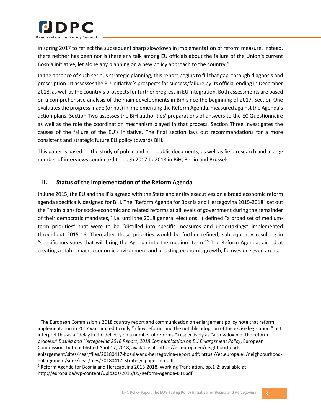

 $\overline{\phantom{a}}$ 

in spring 2017 to reflect the subsequent sharp slowdown in implementation of reform measure. Instead, there neither has been nor is there any talk among EU officials about the failure of the Union's current Bosnia initiative, let alone any planning on a new policy approach to the country.<sup>4</sup>

In the absence of such serious strategic planning, this report begins to fill that gap, through diagnosis and prescription. It assesses the EU initiative's prospects for success/failure by its official ending in December 2018, as well as the country's prospects for further progress in EU integration. Both assessments are based on a comprehensive analysis of the main developments in BiH since the beginning of 2017. Section One evaluates the progress made (or not) in implementing the Reform Agenda, measured against the Agenda's action plans. Section Two assesses the BiH authorities' preparations of answers to the EC Questionnaire as well as the role the coordination mechanism played in that process. Section Three investigates the causes of the failure of the EU's initiative. The final section lays out recommendations for a more consistent and strategic future EU policy towards BiH.

This paper is based on the study of public and non-public documents, as well as field research and a large number of interviews conducted through 2017 to 2018 in BiH, Berlin and Brussels.

# <span id="page-8-0"></span>**II. Status of the Implementation of the Reform Agenda**

In June 2015, the EU and the IFIs agreed with the State and entity executives on a broad economic reform agenda specifically designed for BiH. The "Reform Agenda for Bosnia and Herzegovina 2015-2018" set out the "main plans for socio-economic and related reforms at all levels of government during the remainder of their democratic mandates," i.e. until the 2018 general elections. It defined "a broad set of mediumterm priorities" that were to be "distilled into specific measures and undertakings" implemented throughout 2015-16. Thereafter these priorities would be further refined, subsequently resulting in "specific measures that will bring the Agenda into the medium term."<sup>5</sup> The Reform Agenda, aimed at creating a stable macroeconomic environment and boosting economic growth, focuses on seven areas:

<sup>4</sup> The European Commission's 2018 country report and communication on enlargement policy note that reform implementation in 2017 was limited to only "a few reforms and the notable adoption of the excise legislation," but interpret this as a "delay in the delivery on a number of reforms," respectively as "a slowdown of the reform process." *Bosnia and Herzegovina 2018 Report*, *2018 Communication on EU Enlargement Policy*, European Commission, both published April 17, 2018, available at: https://ec.europa.eu/neighbourhoodenlargement/sites/near/files/20180417-bosnia-and-herzegovina-report.pdf; https://ec.europa.eu/neighbourhoodenlargement/sites/near/files/20180417\_strategy\_paper\_en.pdf.

 $5$  Reform Agenda for Bosnia and Herzegovina 2015-2018. Working Translation, pp.1-2; available at: http://europa.ba/wp-content/uploads/2015/09/Reform-Agenda-BiH.pdf.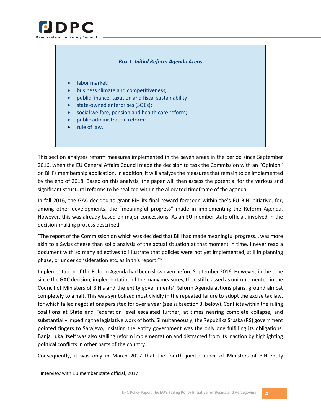

#### *Box 1: Initial Reform Agenda Areas*

- labor market;
- business climate and competitiveness;
- public finance, taxation and fiscal sustainability;
- state-owned enterprises (SOEs);
- social welfare, pension and health care reform;
- public administration reform;
- rule of law.

This section analyzes reform measures implemented in the seven areas in the period since September 2016, when the EU General Affairs Council made the decision to task the Commission with an "Opinion" on BiH's membership application. In addition, it will analyze the measures that remain to be implemented by the end of 2018. Based on this analysis, the paper will then assess the potential for the various and significant structural reforms to be realized within the allocated timeframe of the agenda.

In fall 2016, the GAC decided to grant BiH its final reward foreseen within the's EU BiH initiative, for, among other developments, the "meaningful progress" made in implementing the Reform Agenda. However, this was already based on major concessions. As an EU member state official, involved in the decision-making process described:

"The report of the Commission on which was decided that BiH had made meaningful progress… was more akin to a Swiss cheese than solid analysis of the actual situation at that moment in time. I never read a document with so many adjectives to illustrate that policies were not yet implemented, still in planning phase, or under consideration etc. as in this report."<sup>6</sup>

Implementation of the Reform Agenda had been slow even before September 2016. However, in the time since the GAC decision, implementation of the many measures, then still classed as unimplemented in the Council of Ministers of BiH's and the entity governments' Reform Agenda actions plans, ground almost completely to a halt. This was symbolized most vividly in the repeated failure to adopt the excise tax law, for which failed negotiations persisted for over a year (see subsection 3. below). Conflicts within the ruling coalitions at State and Federation level escalated further, at times nearing complete collapse, and substantially impeding the legislative work of both. Simultaneously, the Republika Srpska (RS) government pointed fingers to Sarajevo, insisting the entity government was the only one fulfilling its obligations. Banja Luka itself was also stalling reform implementation and distracted from its inaction by highlighting political conflicts in other parts of the country.

Consequently, it was only in March 2017 that the fourth joint Council of Ministers of BiH-entity

 $\overline{a}$ 

<sup>6</sup> Interview with EU member state official, 2017.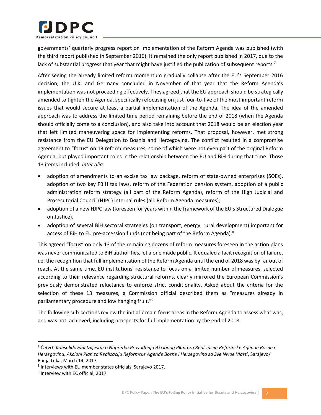

governments' quarterly progress report on implementation of the Reform Agenda was published (with the third report published in September 2016). It remained the only report published in 2017, due to the lack of substantial progress that year that might have justified the publication of subsequent reports.<sup>7</sup>

After seeing the already limited reform momentum gradually collapse after the EU's September 2016 decision, the U.K. and Germany concluded in November of that year that the Reform Agenda's implementation was not proceeding effectively. They agreed that the EU approach should be strategically amended to tighten the Agenda, specifically refocusing on just four-to-five of the most important reform issues that would secure at least a partial implementation of the Agenda. The idea of the amended approach was to address the limited time period remaining before the end of 2018 (when the Agenda should officially come to a conclusion), and also take into account that 2018 would be an election year that left limited maneuvering space for implementing reforms. That proposal, however, met strong resistance from the EU Delegation to Bosnia and Herzegovina. The conflict resulted in a compromise agreement to "focus" on 13 reform measures, some of which were not even part of the original Reform Agenda, but played important roles in the relationship between the EU and BiH during that time. Those 13 items included, *inter alia*:

- adoption of amendments to an excise tax law package, reform of state-owned enterprises (SOEs), adoption of two key FBiH tax laws, reform of the Federation pension system, adoption of a public administration reform strategy (all part of the Reform Agenda), reform of the High Judicial and Prosecutorial Council (HJPC) internal rules (all: Reform Agenda measures);
- adoption of a new HJPC law (foreseen for years within the framework of the EU's Structured Dialogue on Justice),
- adoption of several BiH sectoral strategies (on transport, energy, rural development) important for access of BiH to EU pre-accession funds (not being part of the Reform Agenda).<sup>8</sup>

This agreed "focus" on only 13 of the remaining dozens of reform measures foreseen in the action plans was never communicated to BiH authorities, let alone made public. It equaled a tacit recognition of failure, i.e. the recognition that full implementation of the Reform Agenda until the end of 2018 was by far out of reach. At the same time, EU institutions' resistance to focus on a limited number of measures, selected according to their relevance regarding structural reforms, clearly mirrored the European Commission's previously demonstrated reluctance to enforce strict conditionality. Asked about the criteria for the selection of these 13 measures, a Commission official described them as "measures already in parliamentary procedure and low hanging fruit."<sup>9</sup>

The following sub-sections review the initial 7 main focus areas in the Reform Agenda to assess what was, and was not, achieved, including prospects for full implementation by the end of 2018.

<sup>7</sup> *Četvrti Konsolidovani Izvještaj o Napretku Provođenja Akcionog Plana za Realizaciju Reformske Agende Bosne i Herzegovina, Akcioni Plan za Realizaciju Reformske Agende Bosne i Herzegovina za Sve Nivoe Vlasti*, Sarajevo/ Banja Luka, March 14, 2017.

<sup>8</sup> Interviews with EU member states officials, Sarajevo 2017.

<sup>9</sup> Interview with EC official, 2017.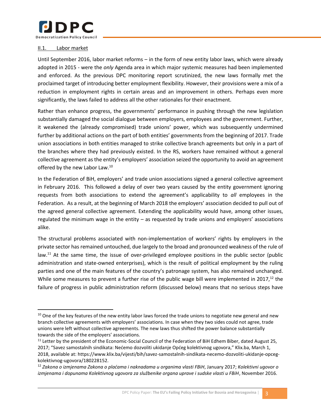

#### <span id="page-11-0"></span>II.1. Labor market

l

Until September 2016, labor market reforms – in the form of new entity labor laws, which were already adopted in 2015 - were the *only* Agenda area in which major systemic measures had been implemented and enforced. As the previous DPC monitoring report scrutinized, the new laws formally met the proclaimed target of introducing better employment flexibility. However, their provisions were a mix of a reduction in employment rights in certain areas and an improvement in others. Perhaps even more significantly, the laws failed to address all the other rationales for their enactment.

Rather than enhance progress, the governments' performance in pushing through the new legislation substantially damaged the social dialogue between employers, employees and the government. Further, it weakened the (already compromised) trade unions' power, which was subsequently undermined further by additional actions on the part of both entities' governments from the beginning of 2017. Trade union associations in both entities managed to strike collective branch agreements but only in a part of the branches where they had previously existed. In the RS, workers have remained without a general collective agreement as the entity's employers' association seized the opportunity to avoid an agreement offered by the new Labor Law.<sup>10</sup>

In the Federation of BiH, employers' and trade union associations signed a general collective agreement in February 2016. This followed a delay of over two years caused by the entity government ignoring requests from both associations to extend the agreement's applicability to *all* employees in the Federation. As a result, at the beginning of March 2018 the employers' association decided to pull out of the agreed general collective agreement. Extending the applicability would have, among other issues, regulated the minimum wage in the entity – as requested by trade unions and employers' associations alike.

The structural problems associated with non-implementation of workers' rights by employers in the private sector has remained untouched, due largely to the broad and pronounced weakness of the rule of law.<sup>11</sup> At the same time, the issue of over-privileged employee positions in the public sector (public administration and state-owned enterprises), which is the result of political employment by the ruling parties and one of the main features of the country's patronage system, has also remained unchanged. While some measures to prevent a further rise of the public wage bill were implemented in 2017,<sup>12</sup> the failure of progress in public administration reform (discussed below) means that no serious steps have

 $10$  One of the key features of the new entity labor laws forced the trade unions to negotiate new general and new branch collective agreements with employers' associations. In case when they two sides could not agree, trade unions were left without collective agreements. The new laws thus shifted the power balance substantially towards the side of the employers' associations.

 $11$  Letter by the president of the Economic-Social Council of the Federation of BiH Edhem Biber, dated August 25, 2017; "Savez samostalnih sindikata: Nećemo dozvoliti ukidanje Općeg kolektivnog ugovora," Klix.ba, March 1, 2018, available at: https://www.klix.ba/vijesti/bih/savez-samostalnih-sindikata-necemo-dozvoliti-ukidanje-opcegkolektivnog-ugovora/180228152.

<sup>12</sup> *Zakona o izmjenama Zakona o plaćama i naknadama u organima vlasti FBiH*, January 2017; *Kolektivni ugovor o izmjenama i dopunama Kolektivnog ugovora za službenike organa uprave i sudske vlasti u FBiH*, November 2016.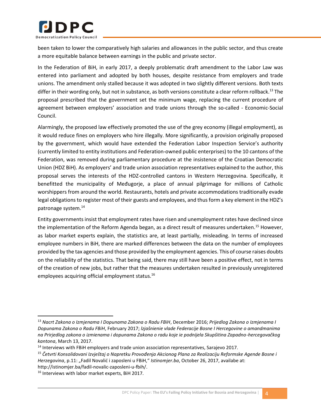

been taken to lower the comparatively high salaries and allowances in the public sector, and thus create a more equitable balance between earnings in the public and private sector.

In the Federation of BiH, in early 2017, a deeply problematic draft amendment to the Labor Law was entered into parliament and adopted by both houses, despite resistance from employers and trade unions. The amendment only stalled because it was adopted in two slightly different versions. Both texts differ in their wording only, but not in substance, as both versions constitute a clear reform rollback.<sup>13</sup> The proposal prescribed that the government set the minimum wage, replacing the current procedure of agreement between employers' association and trade unions through the so-called - Economic-Social Council.

Alarmingly, the proposed law effectively promoted the use of the grey economy (illegal employment), as it would reduce fines on employers who hire illegally. More significantly, a provision originally proposed by the government, which would have extended the Federation Labor Inspection Service's authority (currently limited to entity institutions and Federation-owned public enterprises) to the 10 cantons of the Federation, was removed during parliamentary procedure at the insistence of the Croatian Democratic Union (HDZ BiH). As employers' and trade union association representatives explained to the author, this proposal serves the interests of the HDZ-controlled cantons in Western Herzegovina. Specifically, it benefitted the municipality of Međugorje, a place of annual pilgrimage for millions of Catholic worshippers from around the world. Restaurants, hotels and private accommodations traditionally evade legal obligations to register most of their guests and employees, and thus form a key element in the HDZ's patronage system.<sup>14</sup>

Entity governments insist that employment rates have risen and unemployment rates have declined since the implementation of the Reform Agenda began, as a direct result of measures undertaken.<sup>15</sup> However, as labor market experts explain, the statistics are, at least partially, misleading. In terms of increased employee numbers in BiH, there are marked differences between the data on the number of employees provided by the tax agencies and those provided by the employment agencies. This of course raises doubts on the reliability of the statistics. That being said, there may still have been a positive effect, not in terms of the creation of new jobs, but rather that the measures undertaken resulted in previously unregistered employees acquiring official employment status.<sup>16</sup>

<sup>13</sup> *Nacrt Zakona o Izmjenama I Dopunama Zakona o Radu FBiH*, December 2016; *Prijedlog Zakona o Izmjenama I Dopunama Zakona o Radu FBiH*, February 2017; *lzjašnienie vlade Federacije Bosne I Hercegovine o amandmanima na Prirjedlog zakona o izmienama i dopunama Zakona o radu koje ie podnijela Skupšitina Zapadno-hercegovačkog kantona*, March 13, 2017.

<sup>&</sup>lt;sup>14</sup> Interviews with FBiH employers and trade union association representatives, Sarajevo 2017.

<sup>15</sup> *Četvrti Konsolidovani Izvještaj o Napretku Provođenja Akcionog Plana za Realizaciju Reformske Agende Bosne i Herzegovina*, p.11: "Fadil Novalić i zaposleni u FBiH," *Istinomjer.ba*, October 26, 2017, availabe at: http://istinomjer.ba/fadil-novalic-zaposleni-u-fbih/.

<sup>&</sup>lt;sup>16</sup> Interviews with labor market experts, BiH 2017.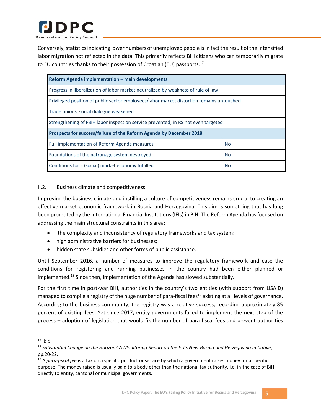

Conversely, statistics indicating lower numbers of unemployed people is in fact the result of the intensified labor migration not reflected in the data. This primarily reflects BiH citizens who can temporarily migrate to EU countries thanks to their possession of Croatian (EU) passports.<sup>17</sup>

| Reform Agenda implementation – main developments                                         |           |  |
|------------------------------------------------------------------------------------------|-----------|--|
| Progress in liberalization of labor market neutralized by weakness of rule of law        |           |  |
| Privileged position of public sector employees/labor market distortion remains untouched |           |  |
| Trade unions, social dialogue weakened                                                   |           |  |
| Strengthening of FBiH labor inspection service prevented; in RS not even targeted        |           |  |
| Prospects for success/failure of the Reform Agenda by December 2018                      |           |  |
| Full implementation of Reform Agenda measures                                            | <b>No</b> |  |
| Foundations of the patronage system destroyed                                            | <b>No</b> |  |
| Conditions for a (social) market economy fulfilled                                       | <b>No</b> |  |

# <span id="page-13-0"></span>II.2. Business climate and competitiveness

Improving the business climate and instilling a culture of competitiveness remains crucial to creating an effective market economic framework in Bosnia and Herzegovina. This aim is something that has long been promoted by the International Financial Institutions (IFIs) in BiH. The Reform Agenda has focused on addressing the main structural constraints in this area:

- the complexity and inconsistency of regulatory frameworks and tax system;
- high administrative barriers for businesses;
- hidden state subsidies and other forms of public assistance.

Until September 2016, a number of measures to improve the regulatory framework and ease the conditions for registering and running businesses in the country had been either planned or implemented.<sup>18</sup> Since then, implementation of the Agenda has slowed substantially.

For the first time in post-war BiH, authorities in the country's two entities (with support from USAID) managed to compile a registry of the huge number of para-fiscal fees<sup>19</sup> existing at all levels of governance. According to the business community, the registry was a relative success, recording approximately 85 percent of existing fees. Yet since 2017, entity governments failed to implement the next step of the process – adoption of legislation that would fix the number of para-fiscal fees and prevent authorities

 $17$  Ibid.

<sup>18</sup> *Substantial Change on the Horizon? A Monitoring Report on the EU's New Bosnia and Herzegovina Initiative*, pp.20-22.

<sup>19</sup> A *para-fiscal fee* is a tax on a specific product or service by which a government raises money for a specific purpose. The money raised is usually paid to a body other than the national tax authority, i.e. in the case of BiH directly to entity, cantonal or municipal governments.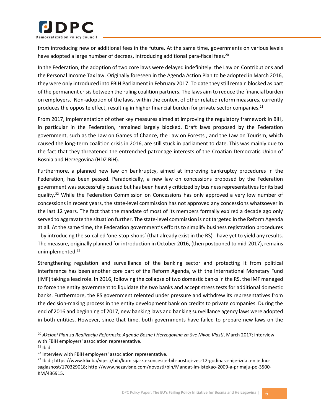

from introducing new or additional fees in the future. At the same time, governments on various levels have adopted a large number of decrees, introducing additional para-fiscal fees.<sup>20</sup>

In the Federation, the adoption of two core laws were delayed indefinitely: the Law on Contributions and the Personal Income Tax law. Originally foreseen in the Agenda Action Plan to be adopted in March 2016, they were only introduced into FBiH Parliament in February 2017. To date they still remain blocked as part of the permanent crisis between the ruling coalition partners. The laws aim to reduce the financial burden on employers. Non-adoption of the laws, within the context of other related reform measures, currently produces the opposite effect, resulting in higher financial burden for private sector companies. $^{21}$ 

From 2017, implementation of other key measures aimed at improving the regulatory framework in BiH, in particular in the Federation, remained largely blocked. Draft laws proposed by the Federation government, such as the Law on Games of Chance, the Law on Forests , and the Law on Tourism, which caused the long-term coalition crisis in 2016, are still stuck in parliament to date. This was mainly due to the fact that they threatened the entrenched patronage interests of the Croatian Democratic Union of Bosnia and Herzegovina (HDZ BiH).

Furthermore, a planned new law on bankruptcy, aimed at improving bankruptcy procedures in the Federation, has been passed. Paradoxically, a new law on concessions proposed by the Federation government was successfully passed but has been heavily criticized by business representatives for its bad quality.<sup>22</sup> While the Federation Commission on Concessions has only approved a very low number of concessions in recent years, the state-level commission has not approved any concessions whatsoever in the last 12 years. The fact that the mandate of most of its members formally expired a decade ago only served to aggravate the situation further. The state-level commission is not targeted in the Reform Agenda at all. At the same time, the Federation government's efforts to simplify business registration procedures - by introducing the so-called 'one-stop-shops' (that already exist in the RS) - have yet to yield any results. The measure, originally planned for introduction in October 2016, (then postponed to mid-2017), remains unimplemented.<sup>23</sup>

Strengthening regulation and surveillance of the banking sector and protecting it from political interference has been another core part of the Reform Agenda, with the International Monetary Fund (IMF) taking a lead role. In 2016, following the collapse of two domestic banks in the RS, the IMF managed to force the entity government to liquidate the two banks and accept stress tests for additional domestic banks. Furthermore, the RS government relented under pressure and withdrew its representatives from the decision-making process in the entity development bank on credits to private companies. During the end of 2016 and beginning of 2017, new banking laws and banking surveillance agency laws were adopted in both entities. However, since that time, both governments have failed to prepare new laws on the

<sup>20</sup> *Akcioni Plan za Realizaciju Reformske Agende Bosne i Herzegovina za Sve Nivoe Vlasti*, March 2017; interview with FBiH employers' association representative.

 $21$  Ibid.

<sup>&</sup>lt;sup>22</sup> Interview with FBiH employers' association representative.

<sup>&</sup>lt;sup>23</sup> Ibid.; https://www.klix.ba/vijesti/bih/komisija-za-koncesije-bih-postoji-vec-12-godina-a-nije-izdala-nijednusaglasnost/170329018; http://www.nezavisne.com/novosti/bih/Mandat-im-istekao-2009-a-primaju-po-3500- KM/436915.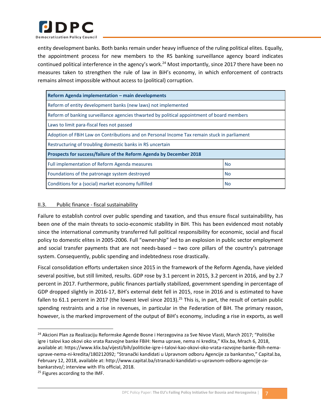

entity development banks. Both banks remain under heavy influence of the ruling political elites. Equally, the appointment process for new members to the RS banking surveillance agency board indicates continued political interference in the agency's work.<sup>24</sup> Most importantly, since 2017 there have been no measures taken to strengthen the rule of law in BiH's economy, in which enforcement of contracts remains almost impossible without access to (political) corruption.

| Reform Agenda implementation - main developments                                            |           |  |
|---------------------------------------------------------------------------------------------|-----------|--|
| Reform of entity development banks (new laws) not implemented                               |           |  |
| Reform of banking surveillance agencies thwarted by political appointment of board members  |           |  |
| Laws to limit para-fiscal fees not passed                                                   |           |  |
| Adoption of FBIH Law on Contributions and on Personal Income Tax remain stuck in parliament |           |  |
| Restructuring of troubling domestic banks in RS uncertain                                   |           |  |
| Prospects for success/failure of the Reform Agenda by December 2018                         |           |  |
| Full implementation of Reform Agenda measures                                               | <b>No</b> |  |
| Foundations of the patronage system destroyed                                               | <b>No</b> |  |
| Conditions for a (social) market economy fulfilled                                          | <b>No</b> |  |

# <span id="page-15-0"></span>II.3. Public finance - fiscal sustainability

Failure to establish control over public spending and taxation, and thus ensure fiscal sustainability, has been one of the main threats to socio-economic stability in BiH. This has been evidenced most notably since the international community transferred full political responsibility for economic, social and fiscal policy to domestic elites in 2005-2006. Full "ownership" led to an explosion in public sector employment and social transfer payments that are not needs-based – two core pillars of the country's patronage system. Consequently, public spending and indebtedness rose drastically.

Fiscal consolidation efforts undertaken since 2015 in the framework of the Reform Agenda, have yielded several positive, but still limited, results. GDP rose by 3.1 percent in 2015, 3.2 percent in 2016, and by 2.7 percent in 2017. Furthermore, public finances partially stabilized, government spending in percentage of GDP dropped slightly in 2016-17, BiH's external debt fell in 2015, rose in 2016 and is estimated to have fallen to 61.1 percent in 2017 (the lowest level since 2013).<sup>25</sup> This is, in part, the result of certain public spending restraints and a rise in revenues, in particular in the Federation of BiH. The primary reason, however, is the marked improvement of the output of BiH's economy, including a rise in exports, as well

<sup>&</sup>lt;sup>24</sup> Akcioni Plan za Realizaciju Reformske Agende Bosne i Herzegovina za Sve Nivoe Vlasti, March 2017; "Političke igre i talovi kao okovi oko vrata Razvojne banke FBiH: Nema uprave, nema ni kredita," Klix.ba, Mrach 6, 2018, available at: https://www.klix.ba/vijesti/bih/politicke-igre-i-talovi-kao-okovi-oko-vrata-razvojne-banke-fbih-nemauprave-nema-ni-kredita/180212092; "Stranački kandidati u Upravnom odboru Agencije za bankarstvo," Capital.ba, February 12, 2018, available at: http://www.capital.ba/stranacki-kandidati-u-upravnom-odboru-agencije-zabankarstvo/; interview with IFIs official, 2018.

<sup>&</sup>lt;sup>25</sup> Figures according to the IMF.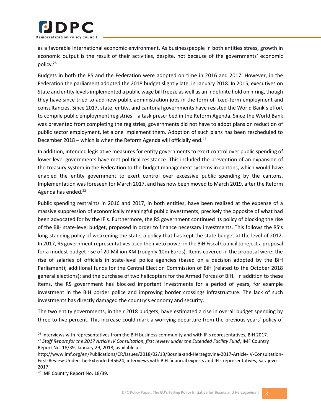

as a favorable international economic environment. As businesspeople in both entities stress, growth in economic output is the result of their activities, despite, not because of the governments' economic policy.<sup>26</sup>

Budgets in both the RS and the Federation were adopted on time in 2016 and 2017. However, in the Federation the parliament adopted the 2018 budget slightly late, in January 2018. In 2015, executives on State and entity levels implemented a public wage bill freeze as well as an indefinite hold on hiring, though they have since tried to add new public administration jobs in the form of fixed-term employment and consultancies. Since 2017, state, entity, and cantonal governments have resisted the World Bank's effort to compile public employment registries – a task prescribed in the Reform Agenda. Since the World Bank was prevented from completing the registries, governments did not have to adopt plans on reduction of public sector employment, let alone implement them. Adoption of such plans has been rescheduled to December 2018 – which is when the Reform Agenda will officially end.<sup>27</sup>

In addition, intended legislative measures for entity governments to exert control over public spending of lower level governments have met political resistance. This included the prevention of an expansion of the treasury system in the Federation to the budget management systems in cantons, which would have enabled the entity government to exert control over excessive public spending by the cantons. Implementation was foreseen for March 2017, and has now been moved to March 2019, after the Reform Agenda has ended.<sup>28</sup>

Public spending restraints in 2016 and 2017, in both entities, have been realized at the expense of a massive suppression of economically meaningful public investments, precisely the opposite of what had been advocated for by the IFIs. Furthermore, the RS government continued its policy of blocking the rise of the BiH state-level budget, proposed in order to finance necessary investments. This follows the RS's long-standing policy of weakening the state, a policy that has kept the state budget at the level of 2012. In 2017, RS government representatives used their veto power in the BiH Fiscal Council to reject a proposal for a modest budget rise of 20 Million KM (roughly 10m Euros). Items covered in the proposal were: the rise of salaries of officials in state-level police agencies (based on a decision adopted by the BiH Parliament); additional funds for the Central Election Commission of BiH (related to the October 2018 general elections); and the purchase of two helicopters for the Armed Forces of BiH. In addition to these items, the RS government has blocked important investments for a period of years, for example investment in the BiH border police and improving border crossings infrastructure. The lack of such investments has directly damaged the country's economy and security.

The two entity governments, in their 2018 budgets, have estimated a rise in overall budget spending by three to five percent. This increase could mark a worrying departure from the previous years' policy of

<sup>&</sup>lt;sup>26</sup> Interviews with representatives from the BiH business community and with IFIs representatives, BiH 2017. <sup>27</sup> *Staff Report for the 2017 Article IV Consultation, first review under the Extended Facility Fund*, IMF Country

Report No. 18/39, January 29, 2018, available at:

http://www.imf.org/en/Publications/CR/Issues/2018/02/13/Bosnia-and-Herzegovina-2017-Article-IV-Consultation-First-Review-Under-the-Extended-45624; interviews with BiH financial experts and IFIs representatives, Sarajevo 2017.

<sup>&</sup>lt;sup>28</sup> IMF Country Report No. 18/39.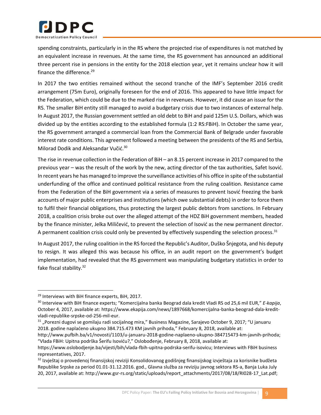

spending constraints, particularly in in the RS where the projected rise of expenditures is not matched by an equivalent increase in revenues. At the same time, the RS government has announced an additional three percent rise in pensions in the entity for the 2018 election year, yet it remains unclear how it will finance the difference.<sup>29</sup>

In 2017 the two entities remained without the second tranche of the IMF's September 2016 credit arrangement (75m Euro), originally foreseen for the end of 2016. This appeared to have little impact for the Federation, which could be due to the marked rise in revenues. However, it did cause an issue for the RS. The smaller BiH entity still managed to avoid a budgetary crisis due to two instances of external help. In August 2017, the Russian government settled an old debt to BiH and paid 125m U.S. Dollars, which was divided up by the entities according to the established formula (1:2 RS:FBiH). In October the same year, the RS government arranged a commercial loan from the Commercial Bank of Belgrade under favorable interest rate conditions. This agreement followed a meeting between the presidents of the RS and Serbia, Milorad Dodik and Aleksandar Vučić.<sup>30</sup>

The rise in revenue collection in the Federation of BiH – an 8.15 percent increase in 2017 compared to the previous year – was the result of the work by the new, acting director of the tax authorities, Safet Isović. In recent years he has managed to improve the surveillance activities of his office in spite of the substantial underfunding of the office and continued political resistance from the ruling coalition. Resistance came from the Federation of the BiH government via a series of measures to prevent Isović freezing the bank accounts of major public enterprises and institutions (which owe substantial debts) in order to force them to fulfil their financial obligations, thus protecting the largest public debtors from sanctions. In February 2018, a coalition crisis broke out over the alleged attempt of the HDZ BiH government members, headed by the finance minister, Jelka Miličević, to prevent the selection of Isović as the new permanent director. A permanent coalition crisis could only be prevented by effectively suspending the selection process. $31$ 

In August 2017, the ruling coalition in the RS forced the Republic's Auditor, Duško Šnjegota, and his deputy to resign. It was alleged this was because his office, in an audit report on the government's budget implementation, had revealed that the RS government was manipulating budgetary statistics in order to fake fiscal stability.<sup>32</sup>

 $\overline{\phantom{a}}$ 

<sup>31</sup> "Porezni dugovi se gomilaju radi socijalnog mira," Business Magazine, Sarajevo October 9, 2017; "U januaru 2018. godine naplaćeno ukupno 384.715.473 KM javnih prihoda," February 8, 2018, available at:

<sup>&</sup>lt;sup>29</sup> Interviews with BiH finance experts, BiH, 2017.

<sup>30</sup> Interview with BiH finance experts; "Komercijalna banka Beograd dala kredit Vladi RS od 25,6 mil EUR," *E-kapija*, October 4, 2017, available at: https://www.ekapija.com/news/1897668/komercijalna-banka-beograd-dala-kreditvladi-republike-srpske-od-256-mil-eur.

http://www.pufbih.ba/v1/novosti/1103/u-januaru-2018-godine-naplaeno-ukupno-384715473-km-javnih-prihoda; "Vlada FBiH: Upitna podrška Šerifu Isoviću?," Oslobođenje, February 8, 2018, available at:

https://www.oslobodjenje.ba/vijesti/bih/vlada-fbih-upitna-podrska-serifu-isovicu; Interviews with FBiH business representatives, 2017.

<sup>&</sup>lt;sup>32</sup> Izvještaj o provedenoj finansijskoj reviziji Konsolidovanog godišnjeg finansijskog izvještaja za korisnike budžeta Republike Srpske za period 01.01-31.12.2016. god., Glavna služba za reviziju javnog sektora RS-a, Banja Luka July 20, 2017, available at: http://www.gsr-rs.org/static/uploads/report\_attachments/2017/08/18/RI028-17\_Lat.pdf;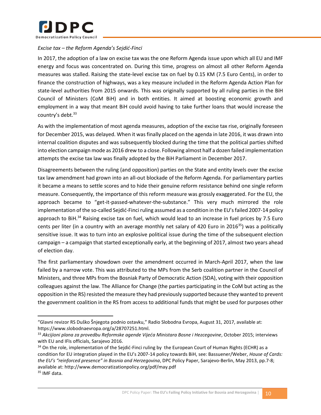

 $\overline{\phantom{a}}$ 

#### <span id="page-18-0"></span>*Excise tax – the Reform Agenda's Sejdić-Finci*

In 2017, the adoption of a law on excise tax was the one Reform Agenda issue upon which all EU and IMF energy and focus was concentrated on. During this time, progress on almost all other Reform Agenda measures was stalled. Raising the state-level excise tax on fuel by 0.15 KM (7.5 Euro Cents), in order to finance the construction of highways, was a key measure included in the Reform Agenda Action Plan for state-level authorities from 2015 onwards. This was originally supported by all ruling parties in the BiH Council of Ministers (CoM BiH) and in both entities. It aimed at boosting economic growth and employment in a way that meant BiH could avoid having to take further loans that would increase the country's debt.<sup>33</sup>

As with the implementation of most agenda measures, adoption of the excise tax rise, originally foreseen for December 2015, was delayed. When it was finally placed on the agenda in late 2016, it was drawn into internal coalition disputes and was subsequently blocked during the time that the political parties shifted into election campaign mode as 2016 drew to a close. Following almost half a dozen failed implementation attempts the excise tax law was finally adopted by the BiH Parliament in December 2017.

Disagreements between the ruling (and opposition) parties on the State and entity levels over the excise tax law amendment had grown into an all-out blockade of the Reform Agenda. For parliamentary parties it became a means to settle scores and to hide their genuine reform resistance behind one single reform measure. Consequently, the importance of this reform measure was grossly exaggerated. For the EU, the approach became to "get-it-passed-whatever-the-substance." This very much mirrored the role implementation of the so-called Sejdić-Finci ruling assumed as a condition in the EU's failed 2007-14 policy approach to BiH.<sup>34</sup> Raising excise tax on fuel, which would lead to an increase in fuel prices by 7.5 Euro cents per liter (in a country with an average monthly net salary of 420 Euro in 2016<sup>35</sup>) was a politically sensitive issue. It was to turn into an explosive political issue during the time of the subsequent election campaign – a campaign that started exceptionally early, at the beginning of 2017, almost two years ahead of election day.

The first parliamentary showdown over the amendment occurred in March-April 2017, when the law failed by a narrow vote. This was attributed to the MPs from the Serb coalition partner in the Council of Ministers, and three MPs from the Bosniak Party of Democratic Action (SDA), voting with their opposition colleagues against the law. The Alliance for Change (the parties participating in the CoM but acting as the opposition in the RS) resisted the measure they had previously supported because they wanted to prevent the government coalition in the RS from access to additional funds that might be used for purposes other

<sup>&</sup>quot;Glavni revizor RS Duško Šnjegota podnio ostavku," Radio Slobodna Evropa, August 31, 2017, available at: https://www.slobodnaevropa.org/a/28707251.html.

<sup>33</sup> *Akcijioni plana za provedbu Reformske agende Vijeća Ministara Bosne i Heгcegovine*, October 2015; interviews with EU and IFIs officials, Sarajevo 2016.

<sup>&</sup>lt;sup>34</sup> On the role, implementation of the Sejdić-Finci ruling by the European Court of Human Rights (ECHR) as a condition for EU integration played in the EU's 2007-14 policy towards BiH, see: Bassuener/Weber, *House of Cards: the EU's "reinforced presence" in Bosnia and Herzegovina*, DPC Policy Paper, Sarajevo-Berlin, May 2013, pp.7-8; available at: http://www.democratizationpolicy.org/pdf/may.pdf <sup>35</sup> IMF data.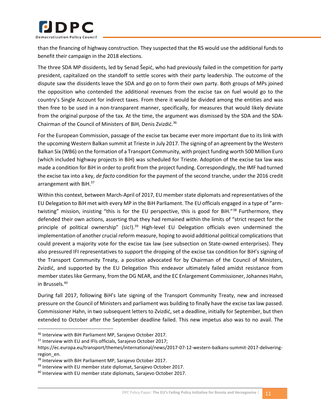

than the financing of highway construction. They suspected that the RS would use the additional funds to benefit their campaign in the 2018 elections.

The three SDA MP dissidents, led by Senad Šepić, who had previously failed in the competition for party president, capitalized on the standoff to settle scores with their party leadership. The outcome of the dispute saw the dissidents leave the SDA and go on to form their own party. Both groups of MPs joined the opposition who contended the additional revenues from the excise tax on fuel would go to the country's Single Account for indirect taxes. From there it would be divided among the entities and was then free to be used in a non-transparent manner, specifically, for measures that would likely deviate from the original purpose of the tax. At the time, the argument was dismissed by the SDA and the SDA-Chairman of the Council of Ministers of BiH, Denis Zvizdić.<sup>36</sup>

For the European Commission, passage of the excise tax became ever more important due to its link with the upcoming Western Balkan summit at Trieste in July 2017. The signing of an agreement by the Western Balkan Six (WB6) on the formation of a Transport Community, with project funding worth 500 Million Euro (which included highway projects in BiH) was scheduled for Trieste. Adoption of the excise tax law was made a condition for BiH in order to profit from the project funding. Correspondingly, the IMF had turned the excise tax into a key, *de facto* condition for the payment of the second tranche, under the 2016 credit arrangement with BiH.<sup>37</sup>

Within this context, between March-April of 2017, EU member state diplomats and representatives of the EU Delegation to BiH met with every MP in the BiH Parliament. The EU officials engaged in a type of "armtwisting" mission, insisting "this is for the EU perspective, this is good for BiH."<sup>38</sup> Furthermore, they defended their own actions, asserting that they had remained within the limits of "strict respect for the principle of political ownership" (sic!).<sup>39</sup> High-level EU Delegation officials even undermined the implementation of another crucial reform measure, hoping to avoid additional political complications that could prevent a majority vote for the excise tax law (see subsection on State-owned enterprises). They also pressured IFI representatives to support the dropping of the excise tax condition for BiH's signing of the Transport Community Treaty, a position advocated for by Chairman of the Council of Ministers, Zvizdić, and supported by the EU Delegation This endeavor ultimately failed amidst resistance from member states like Germany, from the DG NEAR, and the EC Enlargement Commissioner, Johannes Hahn, in Brussels.<sup>40</sup>

During fall 2017, following BiH's late signing of the Transport Community Treaty, new and increased pressure on the Council of Ministers and parliament was building to finally have the excise tax law passed. Commissioner Hahn, in two subsequent letters to Zvizdić, set a deadline, initially for September, but then extended to October after the September deadline failed. This new impetus also was to no avail. The

<sup>&</sup>lt;sup>36</sup> Interview with BiH Parliament MP, Sarajevo October 2017.

<sup>&</sup>lt;sup>37</sup> Interview with EU and IFIs officials, Sarajevo October 2017;

https://ec.europa.eu/transport/themes/international/news/2017-07-12-western-balkans-summit-2017-deliveringregion\_en.

<sup>&</sup>lt;sup>38</sup> Interview with BiH Parliament MP, Sarajevo October 2017.

<sup>&</sup>lt;sup>39</sup> Interview with EU member state diplomat, Sarajevo October 2017.

<sup>40</sup> Interview with EU member state diplomats, Sarajevo October 2017.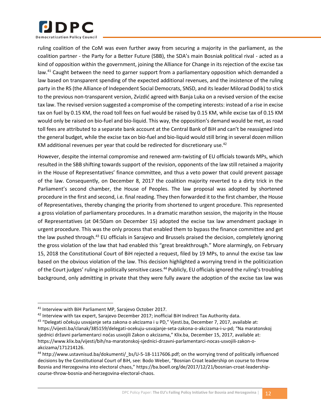

ruling coalition of the CoM was even further away from securing a majority in the parliament, as the coalition partner - the Party for a Better Future (SBB), the SDA's main Bosniak political rival - acted as a kind of opposition within the government, joining the Alliance for Change in its rejection of the excise tax law.<sup>41</sup> Caught between the need to garner support from a parliamentary opposition which demanded a law based on transparent spending of the expected additional revenues, and the insistence of the ruling party in the RS (the Alliance of Independent Social Democrats, SNSD, and its leader Milorad Dodik) to stick to the previous non-transparent version, Zvizdić agreed with Banja Luka on a revised version of the excise tax law. The revised version suggested a compromise of the competing interests: instead of a rise in excise tax on fuel by 0.15 KM, the road toll fees on fuel would be raised by 0.15 KM, while excise tax of 0.15 KM would only be raised on bio-fuel and bio-liquid. This way, the opposition's demand would be met, as road toll fees are attributed to a separate bank account at the Central Bank of BiH and can't be reassigned into the general budget, while the excise tax on bio-fuel and bio-liquid would still bring in several dozen million KM additional revenues per year that could be redirected for discretionary use. $42$ 

However, despite the internal compromise and renewed arm-twisting of EU officials towards MPs, which resulted in the SBB shifting towards support of the revision, opponents of the law still retained a majority in the House of Representatives' finance committee, and thus a veto power that could prevent passage of the law. Consequently, on December 8, 2017 the coalition majority reverted to a dirty trick in the Parliament's second chamber, the House of Peoples. The law proposal was adopted by shortened procedure in the first and second, i.e. final reading. They then forwarded it to the first chamber, the House of Representatives, thereby changing the priority from shortened to urgent procedure. This represented a gross violation of parliamentary procedures. In a dramatic marathon session, the majority in the House of Representatives (at 04:50am on December 15) adopted the excise tax law amendment package in urgent procedure. This was the only process that enabled them to bypass the finance committee and get the law pushed through.<sup>43</sup> EU officials in Sarajevo and Brussels praised the decision, completely ignoring the gross violation of the law that had enabled this "great breakthrough." More alarmingly, on February 15, 2018 the Constitutional Court of BiH rejected a request, filed by 19 MPs, to annul the excise tax law based on the obvious violation of the law. This decision highlighted a worrying trend in the politicization of the Court judges' ruling in politically sensitive cases.<sup>44</sup> Publicly, EU officials ignored the ruling's troubling background, only admitting in private that they were fully aware the adoption of the excise tax law was

<sup>41</sup> Interview with BiH Parliament MP, Sarajevo October 2017.

 $42$  Interview with tax expert, Sarajevo December 2017; inofficial BiH Indirect Tax Authority data.

<sup>&</sup>lt;sup>43</sup> "Delegati očekuju usvajanje seta zakona o akcizama i u PD," Vjesti.ba, December 7, 2017, available at: https://vijesti.ba/clanak/385159/delegati-ocekuju-usvajanje-seta-zakona-o-akcizama-i-u-pd; "Na maratonskoj sjednici državni parlamentarci noćas usvojili Zakon o akcizama," Klix.ba, December 15, 2017, available at: https://www.klix.ba/vijesti/bih/na-maratonskoj-sjednici-drzavni-parlamentarci-nocas-usvojili-zakon-oakcizama/171214126.

<sup>44</sup> http://www.ustavnisud.ba/dokumenti/\_bs/U-5-18-1117606.pdf; on the worrying trend of politically influenced decisions by the Constitutional Court of BiH, see: Bodo Weber, "Bosnian Croat leadership on course to throw Bosnia and Herzegovina into electoral chaos," https://ba.boell.org/de/2017/12/21/bosnian-croat-leadershipcourse-throw-bosnia-and-herzegovina-electoral-chaos.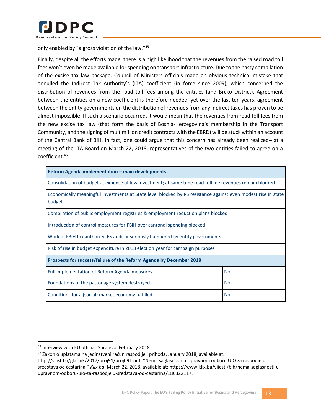

only enabled by "a gross violation of the law."<sup>45</sup>

Finally, despite all the efforts made, there is a high likelihood that the revenues from the raised road toll fees won't even be made available for spending on transport infrastructure. Due to the hasty compilation of the excise tax law package, Council of Ministers officials made an obvious technical mistake that annulled the Indirect Tax Authority's (ITA) coefficient (in force since 2009), which concerned the distribution of revenues from the road toll fees among the entities (and Brčko District). Agreement between the entities on a new coefficient is therefore needed, yet over the last ten years, agreement between the entity governments on the distribution of revenues from any indirect taxes has proven to be almost impossible. If such a scenario occurred, it would mean that the revenues from road toll fees from the new excise tax law (that form the basis of Bosnia-Herzegovina's membership in the Transport Community, and the signing of multimillion credit contracts with the EBRD) will be stuck within an account of the Central Bank of BiH. In fact, one could argue that this concern has already been realized– at a meeting of the ITA Board on March 22, 2018, representatives of the two entities failed to agree on a coefficient.<sup>46</sup>

| Reform Agenda implementation - main developments                                                                        |           |  |
|-------------------------------------------------------------------------------------------------------------------------|-----------|--|
| Consolidation of budget at expense of low investment; at same time road toll fee revenues remain blocked                |           |  |
| Economically meaningful investments at State level blocked by RS resistance against even modest rise in state<br>budget |           |  |
| Compilation of public employment registries & employment reduction plans blocked                                        |           |  |
| Introduction of control measures for FBiH over cantonal spending blocked                                                |           |  |
| Work of FBIH tax authority, RS auditor seriously hampered by entity governments                                         |           |  |
| Risk of rise in budget expenditure in 2018 election year for campaign purposes                                          |           |  |
| Prospects for success/failure of the Reform Agenda by December 2018                                                     |           |  |
| Full implementation of Reform Agenda measures                                                                           | <b>No</b> |  |
| Foundations of the patronage system destroyed                                                                           | <b>No</b> |  |
| Conditions for a (social) market economy fulfilled                                                                      | <b>No</b> |  |

<span id="page-21-0"></span><sup>45</sup> Interview with EU official, Sarajevo, February 2018.

<sup>46</sup> Zakon o uplatama na jedinstveni račun raspodijeli prihoda, January 2018, available at:

http://sllist.ba/glasnik/2017/broj91/broj091.pdf; "Nema saglasnosti u Upravnom odboru UIO za raspodjelu sredstava od cestarina," *Klix.ba*, March 22, 2018, available at: https://www.klix.ba/vijesti/bih/nema-saglasnosti-uupravnom-odboru-uio-za-raspodjelu-sredstava-od-cestarina/180322117.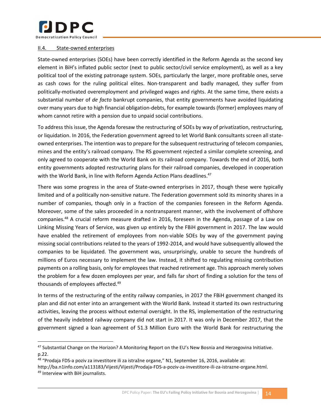

 $\overline{\phantom{a}}$ 

#### II.4. State-owned enterprises

State-owned enterprises (SOEs) have been correctly identified in the Reform Agenda as the second key element in BiH's inflated public sector (next to public sector/civil service employment), as well as a key political tool of the existing patronage system. SOEs, particularly the larger, more profitable ones, serve as cash cows for the ruling political elites. Non-transparent and badly managed, they suffer from politically-motivated overemployment and privileged wages and rights. At the same time, there exists a substantial number of *de facto* bankrupt companies, that entity governments have avoided liquidating over many years due to high financial obligation-debts, for example towards (former) employees many of whom cannot retire with a pension due to unpaid social contributions.

To address this issue, the Agenda foresaw the restructuring of SOEs by way of privatization, restructuring, or liquidation. In 2016, the Federation government agreed to let World Bank consultants screen all stateowned enterprises. The intention was to prepare for the subsequent restructuring of telecom companies, mines and the entity's railroad company. The RS government rejected a similar complete screening, and only agreed to cooperate with the World Bank on its railroad company. Towards the end of 2016, both entity governments adopted restructuring plans for their railroad companies, developed in cooperation with the World Bank, in line with Reform Agenda Action Plans deadlines.<sup>47</sup>

There was some progress in the area of State-owned enterprises in 2017, though these were typically limited and of a politically non-sensitive nature. The Federation government sold its minority shares in a number of companies, though only in a fraction of the companies foreseen in the Reform Agenda. Moreover, some of the sales proceeded in a nontransparent manner, with the involvement of offshore companies.<sup>48</sup> A crucial reform measure drafted in 2016, foreseen in the Agenda, passage of a Law on Linking Missing Years of Service, was given up entirely by the FBiH government in 2017. The law would have enabled the retirement of employees from non-viable SOEs by way of the government paying missing social contributions related to the years of 1992-2014, and would have subsequently allowed the companies to be liquidated. The government was, unsurprisingly, unable to secure the hundreds of millions of Euros necessary to implement the law. Instead, it shifted to regulating missing contribution payments on a rolling basis, only for employees that reached retirement age. This approach merely solves the problem for a few dozen employees per year, and falls far short of finding a solution for the tens of thousands of employees affected.<sup>49</sup>

In terms of the restructuring of the entity railway companies, in 2017 the FBiH government changed its plan and did not enter into an arrangement with the World Bank. Instead it started its own restructuring activities, leaving the process without external oversight. In the RS, implementation of the restructuring of the heavily indebted railway company did not start in 2017. It was only in December 2017, that the government signed a loan agreement of 51.3 Million Euro with the World Bank for restructuring the

<sup>47</sup> Substantial Change on the Horizon? A Monitoring Report on the EU's New Bosnia and Herzegovina Initiative. p.22.

<sup>48 &</sup>quot;Prodaja FDS-a poziv za investitore ili za istražne organe," N1, September 16, 2016, available at:

http://ba.n1info.com/a113183/Vijesti/Vijesti/Prodaja-FDS-a-poziv-za-investitore-ili-za-istrazne-organe.html. 49 Interview with BiH journalists.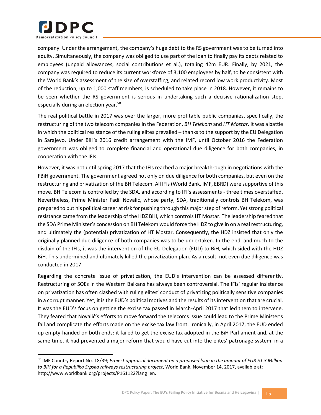

 $\overline{a}$ 

company. Under the arrangement, the company's huge debt to the RS government was to be turned into equity. Simultaneously, the company was obliged to use part of the loan to finally pay its debts related to employees (unpaid allowances, social contributions et al.), totaling 42m EUR. Finally, by 2021, the company was required to reduce its current workforce of 3,100 employees by half, to be consistent with the World Bank's assessment of the size of overstaffing, and related record low work productivity. Most of the reduction, up to 1,000 staff members, is scheduled to take place in 2018. However, it remains to be seen whether the RS government is serious in undertaking such a decisive rationalization step, especially during an election year.<sup>50</sup>

The real political battle in 2017 was over the larger, more profitable public companies, specifically, the restructuring of the two telecom companies in the Federation, *BH Telekom* and *HT Mostar*. It was a battle in which the political resistance of the ruling elites prevailed – thanks to the support by the EU Delegation in Sarajevo. Under BiH's 2016 credit arrangement with the IMF, until October 2016 the Federation government was obliged to complete financial and operational due diligence for both companies, in cooperation with the IFIs.

However, it was not until spring 2017 that the IFIs reached a major breakthrough in negotiations with the FBiH government. The government agreed not only on due diligence for both companies, but even on the restructuring and privatization of the BH Telecom. All IFIs (World Bank, IMF, EBRD) were supportive of this move. BH Telecom is controlled by the SDA, and according to IFI's assessments - three times overstaffed. Nevertheless, Prime Minister Fadil Novalić, whose party, SDA, traditionally controls BH Telekom, was prepared to put his political career at risk for pushing through this major step of reform. Yet strong political resistance came from the leadership of the HDZ BiH, which controls HT Mostar. The leadership feared that the SDA Prime Minister's concession on BH Telekom would force the HDZ to give in on a real restructuring, and ultimately the (potential) privatization of HT Mostar. Consequently, the HDZ insisted that only the originally planned due diligence of both companies was to be undertaken. In the end, and much to the disdain of the IFIs, it was the intervention of the EU Delegation (EUD) to BiH, which sided with the HDZ BiH. This undermined and ultimately killed the privatization plan. As a result, not even due diligence was conducted in 2017.

Regarding the concrete issue of privatization, the EUD's intervention can be assessed differently. Restructuring of SOEs in the Western Balkans has always been controversial. The IFIs' regular insistence on privatization has often clashed with ruling elites' conduct of privatizing politically sensitive companies in a corrupt manner. Yet, it is the EUD's political motives and the results of its intervention that are crucial. It was the EUD's focus on getting the excise tax passed in March-April 2017 that led them to intervene. They feared that Novalić's efforts to move forward the telecoms issue could lead to the Prime Minister's fall and complicate the efforts made on the excise tax law front. Ironically, in April 2017, the EUD ended up empty-handed on both ends: it failed to get the excise tax adopted in the BiH Parliament and, at the same time, it had prevented a major reform that would have cut into the elites' patronage system, in a

<sup>50</sup> IMF Country Report No. 18/39; *Project appraisal document on a proposed loan in the amount of EUR 51.3 Million to BiH for a Republika Srpska railways restructuring project*, World Bank, November 14, 2017, available at: http://www.worldbank.org/projects/P161122?lang=en.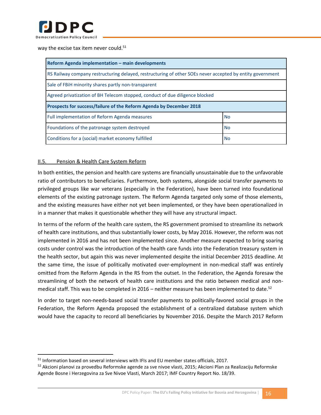

way the excise tax item never could.<sup>51</sup>

| Reform Agenda implementation – main developments                                                          |           |  |
|-----------------------------------------------------------------------------------------------------------|-----------|--|
| RS Railway company restructuring delayed, restructuring of other SOEs never accepted by entity government |           |  |
| Sale of FBIH minority shares partly non-transparent                                                       |           |  |
| Agreed privatization of BH Telecom stopped, conduct of due diligence blocked                              |           |  |
| Prospects for success/failure of the Reform Agenda by December 2018                                       |           |  |
| Full implementation of Reform Agenda measures                                                             | <b>No</b> |  |
| Foundations of the patronage system destroyed<br><b>No</b>                                                |           |  |
| Conditions for a (social) market economy fulfilled<br><b>No</b>                                           |           |  |

# <span id="page-24-0"></span>II.5. Pension & Health Care System Reform

 $\overline{a}$ 

In both entities, the pension and health care systems are financially unsustainable due to the unfavorable ratio of contributors to beneficiaries. Furthermore, both systems, alongside social transfer payments to privileged groups like war veterans (especially in the Federation), have been turned into foundational elements of the existing patronage system. The Reform Agenda targeted only some of those elements, and the existing measures have either not yet been implemented, or they have been operationalized in in a manner that makes it questionable whether they will have any structural impact.

In terms of the reform of the health care system, the RS government promised to streamline its network of health care institutions, and thus substantially lower costs, by May 2016. However, the reform was not implemented in 2016 and has not been implemented since. Another measure expected to bring soaring costs under control was the introduction of the health care funds into the Federation treasury system in the health sector, but again this was never implemented despite the initial December 2015 deadline. At the same time, the issue of politically motivated over-employment in non-medical staff was entirely omitted from the Reform Agenda in the RS from the outset. In the Federation, the Agenda foresaw the streamlining of both the network of health care institutions and the ratio between medical and nonmedical staff. This was to be completed in 2016 – neither measure has been implemented to date.<sup>52</sup>

In order to target non-needs-based social transfer payments to politically-favored social groups in the Federation, the Reform Agenda proposed the establishment of a centralized database system which would have the capacity to record all beneficiaries by November 2016. Despite the March 2017 Reform

<sup>&</sup>lt;sup>51</sup> Information based on several interviews with IFIs and EU member states officials, 2017.

<sup>&</sup>lt;sup>52</sup> Akcioni planovi za provedbu Reformske agende za sve nivoe vlasti, 2015; Akcioni Plan za Realizaciju Reformske Agende Bosne i Herzegovina za Sve Nivoe Vlasti, March 2017; IMF Country Report No. 18/39.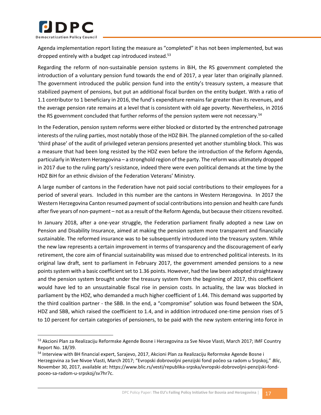

 $\overline{\phantom{a}}$ 

Agenda implementation report listing the measure as "completed" it has not been implemented, but was dropped entirely with a budget cap introduced instead.<sup>53</sup>

Regarding the reform of non-sustainable pension systems in BiH, the RS government completed the introduction of a voluntary pension fund towards the end of 2017, a year later than originally planned. The government introduced the public pension fund into the entity's treasury system, a measure that stabilized payment of pensions, but put an additional fiscal burden on the entity budget. With a ratio of 1.1 contributor to 1 beneficiary in 2016, the fund's expenditure remains far greater than its revenues, and the average pension rate remains at a level that is consistent with old age poverty. Nevertheless, in 2016 the RS government concluded that further reforms of the pension system were not necessary.<sup>54</sup>

In the Federation, pension system reforms were either blocked or distorted by the entrenched patronage interests of the ruling parties, most notably those of the HDZ BiH. The planned completion of the so-called 'third phase' of the audit of privileged veteran pensions presented yet another stumbling block. This was a measure that had been long resisted by the HDZ even before the introduction of the Reform Agenda, particularly in Western Herzegovina – a stronghold region of the party. The reform was ultimately dropped in 2017 due to the ruling party's resistance, indeed there were even political demands at the time by the HDZ BiH for an ethnic division of the Federation Veterans' Ministry.

A large number of cantons in the Federation have not paid social contributions to their employees for a period of several years. Included in this number are the cantons in Western Herzegovina. In 2017 the Western Herzegovina Canton resumed payment of social contributions into pension and health care funds after five years of non-payment – not as a result of the Reform Agenda, but because their citizens revolted.

In January 2018, after a one-year struggle, the Federation parliament finally adopted a new Law on Pension and Disability Insurance, aimed at making the pension system more transparent and financially sustainable. The reformed insurance was to be subsequently introduced into the treasury system. While the new law represents a certain improvement in terms of transparency and the discouragement of early retirement, the core aim of financial sustainability was missed due to entrenched political interests. In its original law draft, sent to parliament in February 2017, the government amended pensions to a new points system with a basic coefficient set to 1.36 points. However, had the law been adopted straightaway and the pension system brought under the treasury system from the beginning of 2017, this coefficient would have led to an unsustainable fiscal rise in pension costs. In actuality, the law was blocked in parliament by the HDZ, who demanded a much higher coefficient of 1.44. This demand was supported by the third coalition partner - the SBB. In the end, a "compromise" solution was found between the SDA, HDZ and SBB, which raised the coefficient to 1.4, and in addition introduced one-time pension rises of 5 to 10 percent for certain categories of pensioners, to be paid with the new system entering into force in

<sup>&</sup>lt;sup>53</sup> Akcioni Plan za Realizaciju Reformske Agende Bosne i Herzegovina za Sve Nivoe Vlasti, March 2017; IMF Country Report No. 18/39.

<sup>54</sup> Interview with BH financial expert, Sarajevo, 2017, Akcioni Plan za Realizaciju Reformske Agende Bosne i Herzegovina za Sve Nivoe Vlasti, March 2017; "Evropski dobrovoljni penzijski fond počeo sa radom u Srpskoj," *Blic*, November 30, 2017, available at: https://www.blic.rs/vesti/republika-srpska/evropski-dobrovoljni-penzijski-fondpoceo-sa-radom-u-srpskoj/sv7hr7c.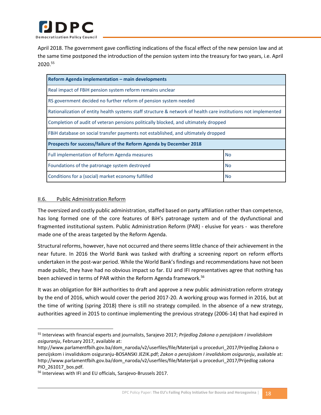

April 2018. The government gave conflicting indications of the fiscal effect of the new pension law and at the same time postponed the introduction of the pension system into the treasury for two years, i.e. April 2020.<sup>55</sup>

| Reform Agenda implementation - main developments                                                               |           |  |
|----------------------------------------------------------------------------------------------------------------|-----------|--|
| Real impact of FBiH pension system reform remains unclear                                                      |           |  |
| RS government decided no further reform of pension system needed                                               |           |  |
| Rationalization of entity health systems staff structure & network of health care institutions not implemented |           |  |
| Completion of audit of veteran pensions politically blocked, and ultimately dropped                            |           |  |
| FBIH database on social transfer payments not established, and ultimately dropped                              |           |  |
| Prospects for success/failure of the Reform Agenda by December 2018                                            |           |  |
| Full implementation of Reform Agenda measures                                                                  | <b>No</b> |  |
| Foundations of the patronage system destroyed                                                                  | <b>No</b> |  |
| Conditions for a (social) market economy fulfilled                                                             | <b>No</b> |  |

# II.6. Public Administration Reform

 $\overline{\phantom{a}}$ 

The oversized and costly public administration, staffed based on party affiliation rather than competence, has long formed one of the core features of BiH's patronage system and of the dysfunctional and fragmented institutional system. Public Administration Reform (PAR) - elusive for years - was therefore made one of the areas targeted by the Reform Agenda.

Structural reforms, however, have not occurred and there seems little chance of their achievement in the near future. In 2016 the World Bank was tasked with drafting a screening report on reform efforts undertaken in the post-war period. While the World Bank's findings and recommendations have not been made public, they have had no obvious impact so far. EU and IFI representatives agree that nothing has been achieved in terms of PAR within the Reform Agenda framework.<sup>56</sup>

It was an obligation for BiH authorities to draft and approve a new public administration reform strategy by the end of 2016, which would cover the period 2017-20. A working group was formed in 2016, but at the time of writing (spring 2018) there is still no strategy compiled. In the absence of a new strategy, authorities agreed in 2015 to continue implementing the previous strategy (2006-14) that had expired in

<sup>55</sup> Interviews with financial experts and journalists, Sarajevo 2017; *Prijedlog Zakona o penzijskom I invalidskom osiguranju*, February 2017, available at:

http://www.parlamentfbih.gov.ba/dom\_naroda/v2/userfiles/file/Materijali u proceduri\_2017/Prijedlog Zakona o penzijskom i invalidskom osiguranju-BOSANSKI JEZIK.pdf; *Zakon o penzijskom I invalidskom osiguranju*, available at: http://www.parlamentfbih.gov.ba/dom\_naroda/v2/userfiles/file/Materijali u proceduri\_2017/Prijedlog zakona PIO\_261017\_bos.pdf.

<sup>56</sup> Interviews with IFI and EU officials, Sarajevo-Brussels 2017.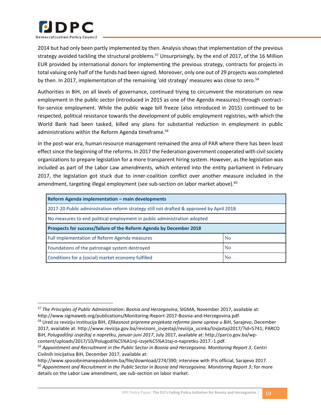

2014 but had only been partly implemented by then. Analysis shows that implementation of the previous strategy avoided tackling the structural problems.<sup>57</sup> Unsurprisingly, by the end of 2017, of the 16 Million EUR provided by international donors for implementing the previous strategy, contracts for projects in total valuing only half of the funds had been signed. Moreover, only one out of 29 projects was completed by then. In 2017, implementation of the remaining 'old strategy' measures was close to zero.<sup>58</sup>

Authorities in BiH, on all levels of governance, continued trying to circumvent the moratorium on new employment in the public sector (introduced in 2015 as one of the Agenda measures) through contractfor-service employment. While the public wage bill freeze (also introduced in 2015) continued to be respected, political resistance towards the development of public employment registries, with which the World Bank had been tasked, killed any plans for substantial reduction in employment in public administrations within the Reform Agenda timeframe.<sup>59</sup>

In the post-war era, human resource management remained the area of PAR where there has been least effect since the beginning of the reforms. In 2017 the Federation government cooperated with civil society organizations to prepare legislation for a more transparent hiring system. However, as the legislation was included as part of the Labor Law amendments, which entered into the entity parliament in February 2017, the legislation got stuck due to inner-coalition conflict over another measure included in the amendment, targeting illegal employment (see sub-section on labor market above).<sup>60</sup>

| Reform Agenda implementation - main developments                                         |    |  |
|------------------------------------------------------------------------------------------|----|--|
| 2017-20 Public administration reform strategy still not drafted & approved by April 2018 |    |  |
| No measures to end political employment in public administration adopted                 |    |  |
| Prospects for success/failure of the Reform Agenda by December 2018                      |    |  |
| Full implementation of Reform Agenda measures                                            | No |  |
| Foundations of the patronage system destroyed                                            | No |  |
| Conditions for a (social) market economy fulfilled                                       | No |  |

 $\overline{\phantom{a}}$ <sup>57</sup> *The Principles of Public Administration: Bosnia and Herzegovina*, SIGMA, November 2017, available at: http://www.sigmaweb.org/publications/Monitoring-Report-2017-Bosnia-and-Herzegovina.pdf.

<sup>58</sup> Ured za reviziju institucija BiH, *Efikasnost pripreme projekata reforme javne uprave u BiH*, Sarajevo, December 2017, available at: http://www.revizija.gov.ba/revizioni\_izvjestaji/revizija\_ucinka/Izvjastaji2017/?id=5741; PARCO BiH, *Polugodišnji izvještaj o napretku, januar-juni 2017*, July 2017, available at: http://parco.gov.ba/wpcontent/uploads/2017/10/Polugodi%C5%A1nji-izvje%C5%A1taj-o-napretku-2017.-1.pdf.

<sup>59</sup> *Appointment and Recruitment in the Public Sector in Bosnia and Herzegovina. Monitoring Report 3*, Centri Civilnih Inicijativa BiH, December 2017, available at:

http://www.sposobnimanepodobnim.ba/file/download/274/390; interview with IFIs official, Sarajevo 2017. <sup>60</sup> *Appointment and Recruitment in the Public Sector in Bosnia and Herzegovina. Monitoring Report 3*; for more details on the Labor Law amendment, see sub-section on labor market.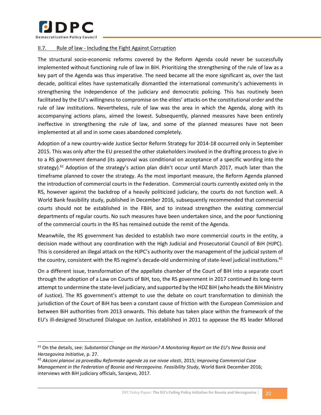

 $\overline{\phantom{a}}$ 

#### <span id="page-28-0"></span>II.7. Rule of law - Including the Fight Against Corruption

The structural socio-economic reforms covered by the Reform Agenda could never be successfully implemented without functioning rule of law in BiH. Prioritizing the strengthening of the rule of law as a key part of the Agenda was thus imperative. The need became all the more significant as, over the last decade, political elites have systematically dismantled the international community's achievements in strengthening the independence of the judiciary and democratic policing. This has routinely been facilitated by the EU's willingness to compromise on the elites' attacks on the constitutional order and the rule of law institutions. Nevertheless, rule of law was the area in which the Agenda, along with its accompanying actions plans, aimed the lowest. Subsequently, planned measures have been entirely ineffective in strengthening the rule of law, and some of the planned measures have not been implemented at all and in some cases abandoned completely.

Adoption of a new country-wide Justice Sector Reform Strategy for 2014-18 occurred only in September 2015. This was only after the EU pressed the other stakeholders involved in the drafting process to give in to a RS government demand (its approval was conditional on acceptance of a specific wording into the strategy).<sup>61</sup> Adoption of the strategy's action plan didn't occur until March 2017, much later than the timeframe planned to cover the strategy. As the most important measure, the Reform Agenda planned the introduction of commercial courts in the Federation. Commercial courts currently existed only in the RS, however against the backdrop of a heavily politicized judiciary, the courts do not function well. A World Bank feasibility study, published in December 2016, subsequently recommended that commercial courts should not be established in the FBiH, and to instead strengthen the existing commercial departments of regular courts. No such measures have been undertaken since, and the poor functioning of the commercial courts in the RS has remained outside the remit of the Agenda.

Meanwhile, the RS government has decided to establish two more commercial courts in the entity, a decision made without any coordination with the High Judicial and Prosecutorial Council of BiH (HJPC). This is considered an illegal attack on the HJPC's authority over the management of the judicial system of the country, consistent with the RS regime's decade-old undermining of state-level judicial institutions.<sup>62</sup>

On a different issue, transformation of the appellate chamber of the Court of BiH into a separate court through the adoption of a Law on Courts of BiH, too, the RS government in 2017 continued its long-term attempt to undermine the state-level judiciary, and supported by the HDZ BiH (who heads the BiH Ministry of Justice). The RS government's attempt to use the debate on court transformation to diminish the jurisdiction of the Court of BiH has been a constant cause of friction with the European Commission and between BiH authorities from 2013 onwards. This debate has taken place within the framework of the EU's ill-designed Structured Dialogue on Justice, established in 2011 to appease the RS leader Milorad

<sup>61</sup> On the details, see: *Substantial Change on the Horizon? A Monitoring Report on the EU's New Bosnia and Herzegovina Initiative*, p. 27.

<sup>62</sup> *Akcioni planovi za provedbu Reformske agende za sve nivoe vlasti*, 2015*; Improving Commercial Case Management in the Federation of Bosnia and Herzegovina. Feasibility Study*, World Bank December 2016; interviews with BiH judiciary officials, Sarajevo, 2017.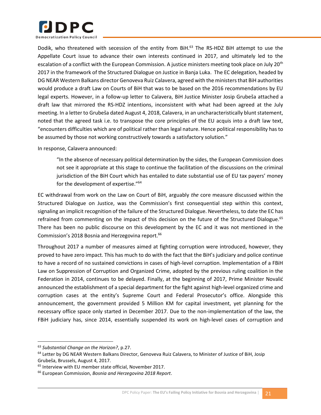

Dodik, who threatened with secession of the entity from BiH.<sup>63</sup> The RS-HDZ BiH attempt to use the Appellate Court issue to advance their own interests continued in 2017, and ultimately led to the escalation of a conflict with the European Commission. A justice ministers meeting took place on July 20<sup>th</sup> 2017 in the framework of the Structured Dialogue on Justice in Banja Luka. The EC delegation, headed by DG NEAR Western Balkans director Genoveva Ruiz Calavera, agreed with the ministers that BiH authorities would produce a draft Law on Courts of BiH that was to be based on the 2016 recommendations by EU legal experts. However, in a follow-up letter to Calavera, BiH Justice Minister Josip Grubeša attached a draft law that mirrored the RS-HDZ intentions, inconsistent with what had been agreed at the July meeting. In a letter to Grubeša dated August 4, 2018, Calavera, in an uncharacteristically blunt statement, noted that the agreed task i.e. to transpose the core principles of the EU acquis into a draft law text, "encounters difficulties which are of political rather than legal nature. Hence political responsibility has to be assumed by those not working constructively towards a satisfactory solution."

In response, Calavera announced:

"In the absence of necessary political determination by the sides, the European Commission does not see it appropriate at this stage to continue the facilitation of the discussions on the criminal jurisdiction of the BiH Court which has entailed to date substantial use of EU tax payers' money for the development of expertise."<sup>64</sup>

EC withdrawal from work on the Law on Court of BiH, arguably *the* core measure discussed within the Structured Dialogue on Justice, was the Commission's first consequential step within this context, signaling an implicit recognition of the failure of the Structured Dialogue. Nevertheless, to date the EC has refrained from commenting on the impact of this decision on the future of the Structured Dialogue.<sup>65</sup> There has been no public discourse on this development by the EC and it was not mentioned in the Commission's 2018 Bosnia and Herzegovina report.<sup>66</sup>

Throughout 2017 a number of measures aimed at fighting corruption were introduced, however, they proved to have zero impact. This has much to do with the fact that the BiH's judiciary and police continue to have a record of no sustained convictions in cases of high-level corruption. Implementation of a FBiH Law on Suppression of Corruption and Organized Crime, adopted by the previous ruling coalition in the Federation in 2014, continues to be delayed. Finally, at the beginning of 2017, Prime Minister Novalić announced the establishment of a special department for the fight against high-level organized crime and corruption cases at the entity's Supreme Court and Federal Prosecutor's office. Alongside this announcement, the government provided 5 Million KM for capital investment, yet planning for the necessary office space only started in December 2017. Due to the non-implementation of the law, the FBiH judiciary has, since 2014, essentially suspended its work on high-level cases of corruption and

<sup>63</sup> *Substantial Change on the Horizon?*, p.27.

<sup>&</sup>lt;sup>64</sup> Letter by DG NEAR Western Balkans Director, Genoveva Ruiz Calavera, to Minister of Justice of BiH, Josip Grubeša, Brussels, August 4, 2017.

<sup>65</sup> Interview with EU member state official, November 2017.

<sup>66</sup> European Commission, *Bosnia and Herzegovina 2018 Report*.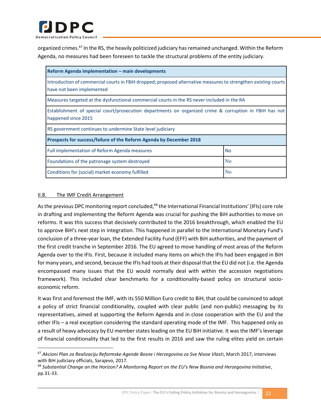

organized crimes.<sup>67</sup> In the RS, the heavily politicized judiciary has remained unchanged. Within the Reform Agenda, no measures had been foreseen to tackle the structural problems of the entity judiciary.

| Reform Agenda implementation – main developments                                                                                            |                |  |
|---------------------------------------------------------------------------------------------------------------------------------------------|----------------|--|
| Introduction of commercial courts in FBIH dropped; proposed alternative measures to strengthen existing courts<br>have not been implemented |                |  |
| Measures targeted at the dysfunctional commercial courts in the RS never included in the RA                                                 |                |  |
| Establishment of special court/prosecution departments on organized crime & corruption in FBIH has not<br>happened since 2015               |                |  |
| RS government continues to undermine State level judiciary                                                                                  |                |  |
| Prospects for success/failure of the Reform Agenda by December 2018                                                                         |                |  |
| Full implementation of Reform Agenda measures                                                                                               | <b>No</b>      |  |
| Foundations of the patronage system destroyed                                                                                               | N <sub>0</sub> |  |
| Conditions for (social) market economy fulfilled                                                                                            | N <sub>0</sub> |  |

#### <span id="page-30-0"></span>II.8. The IMF Credit Arrangement

 $\overline{\phantom{a}}$ 

As the previous DPC monitoring report concluded,<sup>68</sup> the International Financial Institutions' (IFIs) core role in drafting and implementing the Reform Agenda was crucial for pushing the BiH authorities to move on reforms. It was this success that decisively contributed to the 2016 breakthrough, which enabled the EU to approve BiH's next step in integration. This happened in parallel to the International Monetary Fund's conclusion of a three-year loan, the Extended Facility Fund (EFF) with BiH authorities, and the payment of the first credit tranche in September 2016. The EU agreed to move handling of most areas of the Reform Agenda over to the IFIs. First, because it included many items on which the IFIs had been engaged in BiH for many years, and second, because the IFIs had tools at their disposal that the EU did not (i.e. the Agenda encompassed many issues that the EU would normally deal with within the accession negotiations framework). This included clear benchmarks for a conditionality-based policy on structural socioeconomic reform.

It was first and foremost the IMF, with its 550 Million Euro credit to BiH, that could be convinced to adopt a policy of strict financial conditionality, coupled with clear public (and non-public) messaging by its representatives, aimed at supporting the Reform Agenda and in close cooperation with the EU and the other IFIs – a real exception considering the standard operating mode of the IMF. This happened only as a result of heavy advocacy by EU member states leading on the EU BiH initiative. It was the IMF's leverage of financial conditionality that led to the first results in 2016 and saw the ruling elites yield on certain

<sup>67</sup> *Akcioni Plan za Realizaciju Reformske Agende Bosne i Herzegovina za Sve Nivoe Vlast*i, March 2017, interviews with BiH judiciary officials, Sarajevo, 2017.

<sup>68</sup> *Substantial Change on the Horizon? A Monitoring Report on the EU's New Bosnia and Herzegovina Initiative*, pp.31-33.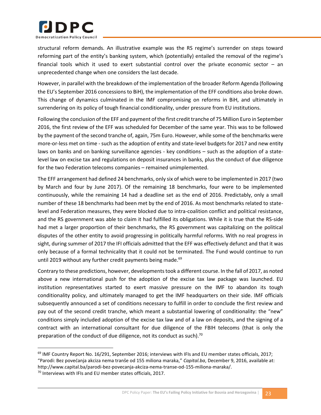

structural reform demands. An illustrative example was the RS regime's surrender on steps toward reforming part of the entity's banking system, which (potentially) entailed the removal of the regime's financial tools which it used to exert substantial control over the private economic sector  $-$  an unprecedented change when one considers the last decade.

However, in parallel with the breakdown of the implementation of the broader Reform Agenda (following the EU's September 2016 concessions to BiH), the implementation of the EFF conditions also broke down. This change of dynamics culminated in the IMF compromising on reforms in BiH, and ultimately in surrendering on its policy of tough financial conditionality, under pressure from EU institutions.

Following the conclusion of the EFF and payment of the first credit tranche of 75 Million Euro in September 2016, the first review of the EFF was scheduled for December of the same year. This was to be followed by the payment of the second tranche of, again, 75m Euro. However, while some of the benchmarks were more-or-less met on time - such as the adoption of entity and state-level budgets for 2017 and new entity laws on banks and on banking surveillance agencies - key conditions – such as the adoption of a statelevel law on excise tax and regulations on deposit insurances in banks, plus the conduct of due diligence for the two Federation telecoms companies – remained unimplemented.

The EFF arrangement had defined 24 benchmarks, only six of which were to be implemented in 2017 (two by March and four by June 2017). Of the remaining 18 benchmarks, four were to be implemented continuously, while the remaining 14 had a deadline set as the end of 2016. Predictably, only a small number of these 18 benchmarks had been met by the end of 2016. As most benchmarks related to statelevel and Federation measures, they were blocked due to intra-coalition conflict and political resistance, and the RS government was able to claim it had fulfilled its obligations. While it is true that the RS-side had met a larger proportion of their benchmarks, the RS government was capitalizing on the political disputes of the other entity to avoid progressing in politically harmful reforms. With no real progress in sight, during summer of 2017 the IFI officials admitted that the EFF was effectively defunct and that it was only because of a formal technicality that it could not be terminated. The Fund would continue to run until 2019 without any further credit payments being made. $69$ 

Contrary to these predictions, however, developments took a different course. In the fall of 2017, as noted above a new international push for the adoption of the excise tax law package was launched. EU institution representatives started to exert massive pressure on the IMF to abandon its tough conditionality policy, and ultimately managed to get the IMF headquarters on their side. IMF officials subsequently announced a set of conditions necessary to fulfill in order to conclude the first review and pay out of the second credit tranche, which meant a substantial lowering of conditionality: the "new" conditions simply included adoption of the excise tax law and of a law on deposits, and the signing of a contract with an international consultant for due diligence of the FBIH telecoms (that is only the preparation of the conduct of due diligence, not its conduct as such). $70$ 

<sup>&</sup>lt;sup>69</sup> IMF Country Report No. 16/291, September 2016; interviews with IFIs and EU member states officials, 2017; "Parodi: Bez povećanja akciza nema tranše od 155 miliona maraka," *Capital.ba*, December 9, 2016, available at: http://www.capital.ba/parodi-bez-povecanja-akciza-nema-transe-od-155-miliona-maraka/.

<sup>&</sup>lt;sup>70</sup> Interviews with IFIs and EU member states officials, 2017.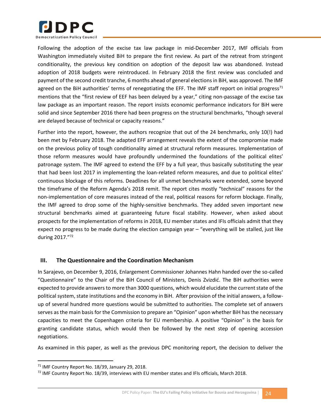

Following the adoption of the excise tax law package in mid-December 2017, IMF officials from Washington immediately visited BiH to prepare the first review. As part of the retreat from stringent conditionality, the previous key condition on adoption of the deposit law was abandoned. Instead adoption of 2018 budgets were reintroduced. In February 2018 the first review was concluded and payment of the second credit tranche, 6 months ahead of general elections in BiH, was approved. The IMF agreed on the BiH authorities' terms of renegotiating the EFF. The IMF staff report on initial progress<sup>71</sup> mentions that the "first review of EEF has been delayed by a year," citing non-passage of the excise tax law package as an important reason. The report insists economic performance indicators for BiH were solid and since September 2016 there had been progress on the structural benchmarks, "though several are delayed because of technical or capacity reasons."

Further into the report, however, the authors recognize that out of the 24 benchmarks, only 10(!) had been met by February 2018. The adapted EFF arrangement reveals the extent of the compromise made on the previous policy of tough conditionality aimed at structural reform measures. Implementation of those reform measures would have profoundly undermined the foundations of the political elites' patronage system. The IMF agreed to extend the EFF by a full year, thus basically substituting the year that had been lost 2017 in implementing the loan-related reform measures, and due to political elites' continuous blockage of this reforms. Deadlines for all unmet benchmarks were extended, some beyond the timeframe of the Reform Agenda's 2018 remit. The report cites mostly "technical" reasons for the non-implementation of core measures instead of the real, political reasons for reform blockage. Finally, the IMF agreed to drop some of the highly-sensitive benchmarks. They added seven important new structural benchmarks aimed at guaranteeing future fiscal stability. However, when asked about prospects for the implementation of reforms in 2018, EU member states and IFIs officials admit that they expect no progress to be made during the election campaign year – "everything will be stalled, just like during 2017."<sup>72</sup>

# <span id="page-32-0"></span>**III. The Questionnaire and the Coordination Mechanism**

In Sarajevo, on December 9, 2016, Enlargement Commissioner Johannes Hahn handed over the so-called "Questionnaire" to the Chair of the BiH Council of Ministers, Denis Zvizdić. The BiH authorities were expected to provide answers to more than 3000 questions, which would elucidate the current state of the political system, state institutions and the economy in BiH. After provision of the initial answers, a followup of several hundred more questions would be submitted to authorities. The complete set of answers serves as the main basis for the Commission to prepare an "Opinion" upon whether BiH has the necessary capacities to meet the Copenhagen criteria for EU membership. A positive "Opinion" is the basis for granting candidate status, which would then be followed by the next step of opening accession negotiations.

As examined in this paper, as well as the previous DPC monitoring report, the decision to deliver the

<sup>&</sup>lt;sup>71</sup> IMF Country Report No. 18/39, January 29, 2018.

<sup>72</sup> IMF Country Report No. 18/39, interviews with EU member states and IFIs officials, March 2018.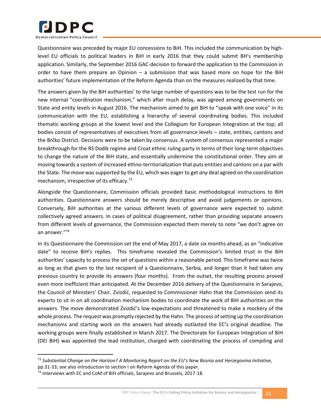

Questionnaire was preceded by major EU concessions to BiH. This included the communication by highlevel EU officials to political leaders in BiH in early 2016 that they could submit BH's membership application. Similarly, the September 2016 GAC-decision to forward the application to the Commission in order to have them prepare an Opinion – a submission that was based more on hope for the BiH authorities' future implementation of the Reform Agenda than on the measures realized by that time.

The answers given by the BiH authorities' to the large number of questions was to be the test run for the new internal "coordination mechanism," which after much delay, was agreed among governments on State and entity levels in August 2016. The mechanism aimed to get BiH to "speak with one voice" in its communication with the EU, establishing a hierarchy of several coordinating bodies. This included thematic working groups at the lowest level and the Collegium for European Integration at the top; all bodies consist of representatives of executives from all governance levels – state, entities, cantons and the Brčko District. Decisions were to be taken by consensus. A system of consensus represented a major breakthrough for the RS Dodik regime and Croat ethnic ruling party in terms of their long-term objectives to change the nature of the BiH state, and essentially undermine the constitutional order. They aim at moving towards a system of increased ethno-territorialization that puts entities and cantons on a par with the State. The move was supported by the EU, which was eager to get *any* deal agreed on the coordination mechanism, irrespective of its efficacy.<sup>73</sup>

Alongside the Questionnaire, Commission officials provided basic methodological instructions to BiH authorities. Questionnaire answers should be merely descriptive and avoid judgements or opinions. Conversely, BiH authorities at the various different levels of governance were expected to submit collectively agreed answers. In cases of political disagreement, rather than providing separate answers from different levels of governance, the Commission expected them merely to note "we don't agree on an answer."<sup>74</sup>

In its Questionnaire the Commission set the end of May 2017, a date six months ahead, as an "indicative date" to receive BiH's replies. This timeframe revealed the Commission's limited trust in the BiH authorities' capacity to process the set of questions within a reasonable period. This timeframe was twice as long as that given to the last recipient of a Questionnaire, Serbia, and longer than it had taken any previous country to provide its answers (four months). From the outset, the resulting process proved even more inefficient than anticipated. At the December 2016 delivery of the Questionnaire in Sarajevo, the Council of Ministers' Chair, Zvizdić, requested to Commissioner Hahn that the Commission send its experts to sit in on all coordination mechanism bodies to coordinate the work of BiH authorities on the answers. The move demonstrated Zvizdić's low expectations and threatened to make a mockery of the whole process. The request was promptly rejected by the Hahn. The process of setting up the coordination mechanisms and starting work on the answers had already outlasted the EC's original deadline. The working groups were finally established in March 2017. The Directorate for European Integration of BiH (DEI BiH) was appointed the lead institution, charged with coordinating the process of compiling and

 $\overline{a}$ 

<sup>73</sup> *Substantial Change on the Horizon? A Monitoring Report on the EU's New Bosnia and Herzegovina Initiative*, pp.31-33; see also introduction to section I on Reform Agenda of this paper.

<sup>74</sup> Interviews with EC and CoM of BiH officials, Sarajevo and Brussels, 2017-18.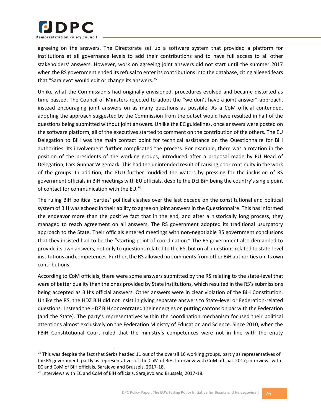

agreeing on the answers. The Directorate set up a software system that provided a platform for institutions at all governance levels to add their contributions and to have full access to all other stakeholders' answers. However, work on agreeing joint answers did not start until the summer 2017 when the RS government ended its refusal to enter its contributions into the database, citing alleged fears that "Sarajevo" would edit or change its answers.<sup>75</sup>

Unlike what the Commission's had originally envisioned, procedures evolved and became distorted as time passed. The Council of Ministers rejected to adopt the "we don't have a joint answer"-approach, instead encouraging joint answers on as many questions as possible. As a CoM official contended, adopting the approach suggested by the Commission from the outset would have resulted in half of the questions being submitted without joint answers. Unlike the EC guidelines, once answers were posted on the software platform, all of the executives started to comment on the contribution of the others. The EU Delegation to BiH was the main contact point for technical assistance on the Questionnaire for BiH authorities. Its involvement further complicated the process. For example, there was a rotation in the position of the presidents of the working groups, introduced after a proposal made by EU Head of Delegation, Lars Gunnar Wigemark. This had the unintended result of causing poor continuity in the work of the groups. In addition, the EUD further muddied the waters by pressing for the inclusion of RS government officials in BiH meetings with EU officials, despite the DEI BiH being the country's single point of contact for communication with the EU.<sup>76</sup>

The ruling BiH political parties' political clashes over the last decade on the constitutional and political system of BiH was echoed in their ability to agree on joint answers in the Questionnaire. This has informed the endeavor more than the positive fact that in the end, and after a historically long process, they managed to reach agreement on all answers. The RS government adopted its traditional usurpatory approach to the State. Their officials entered meetings with non-negotiable RS government conclusions that they insisted had to be the "starting point of coordination." The RS government also demanded to provide its own answers, not only to questions related to the RS, but on all questions related to state-level institutions and competences. Further, the RS allowed no comments from other BiH authorities on its own contributions.

According to CoM officials, there were some answers submitted by the RS relating to the state-level that were of better quality than the ones provided by State institutions, which resulted in the RS's submissions being accepted as BiH's official answers. Other answers were in clear violation of the BiH Constitution. Unlike the RS, the HDZ BiH did not insist in giving separate answers to State-level or Federation-related questions. Instead the HDZ BiH concentrated their energies on putting cantons on par with the Federation (and the State). The party's representatives within the coordination mechanism focused their political attentions almost exclusively on the Federation Ministry of Education and Science. Since 2010, when the FBiH Constitutional Court ruled that the ministry's competences were not in line with the entity

 $75$  This was despite the fact that Serbs headed 11 out of the overall 16 working groups, partly as representatives of the RS government, partly as representatives of the CoM of BiH. Interview with CoM official, 2017; interviews with EC and CoM of BiH officials, Sarajevo and Brussels, 2017-18.

<sup>&</sup>lt;sup>76</sup> Interviews with EC and CoM of BiH officials, Sarajevo and Brussels, 2017-18.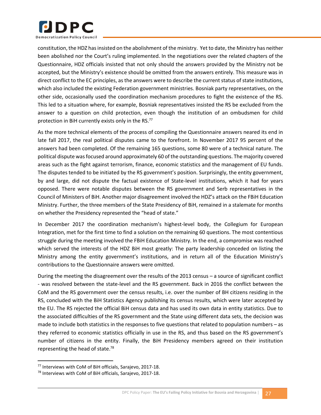

constitution, the HDZ has insisted on the abolishment of the ministry. Yet to date, the Ministry has neither been abolished nor the Court's ruling implemented. In the negotiations over the related chapters of the Questionnaire, HDZ officials insisted that not only should the answers provided by the Ministry not be accepted, but the Ministry's existence should be omitted from the answers entirely. This measure was in direct conflict to the EC principles, as the answers were to describe the current status of state institutions, which also included the existing Federation government ministries. Bosniak party representatives, on the other side, occasionally used the coordination mechanism procedures to fight the existence of the RS. This led to a situation where, for example, Bosniak representatives insisted the RS be excluded from the answer to a question on child protection, even though the institution of an ombudsmen for child protection in BiH currently exists only in the RS.<sup>77</sup>

As the more technical elements of the process of compiling the Questionnaire answers neared its end in late fall 2017, the real political disputes came to the forefront. In November 2017 95 percent of the answers had been completed. Of the remaining 165 questions, some 80 were of a technical nature. The political dispute was focused around approximately 60 of the outstanding questions. The majority covered areas such as the fight against terrorism, finance, economic statistics and the management of EU funds. The disputes tended to be initiated by the RS government's position. Surprisingly, the entity government, by and large, did not dispute the factual existence of State-level institutions, which it had for years opposed. There were notable disputes between the RS government and Serb representatives in the Council of Ministers of BiH. Another major disagreement involved the HDZ's attack on the FBiH Education Ministry. Further, the three members of the State Presidency of BiH, remained in a stalemate for months on whether the Presidency represented the "head of state."

In December 2017 the coordination mechanism's highest-level body, the Collegium for European Integration, met for the first time to find a solution on the remaining 60 questions. The most contentious struggle during the meeting involved the FBiH Education Ministry. In the end, a compromise was reached which served the interests of the HDZ BiH most greatly: The party leadership conceded on listing the Ministry among the entity government's institutions, and in return all of the Education Ministry's contributions to the Questionnaire answers were omitted.

During the meeting the disagreement over the results of the 2013 census – a source of significant conflict - was resolved between the state-level and the RS government. Back in 2016 the conflict between the CoM and the RS government over the census results, i.e. over the number of BH citizens residing in the RS, concluded with the BiH Statistics Agency publishing its census results, which were later accepted by the EU. The RS rejected the official BiH census data and has used its own data in entity statistics. Due to the associated difficulties of the RS government and the State using different data sets, the decision was made to include both statistics in the responses to five questions that related to population numbers – as they referred to economic statistics officially in use in the RS, and thus based on the RS government's number of citizens in the entity. Finally, the BiH Presidency members agreed on their institution representing the head of state.<sup>78</sup>

<sup>77</sup> Interviews with CoM of BiH officials, Sarajevo, 2017-18.

<sup>78</sup> Interviews with CoM of BiH officials, Sarajevo, 2017-18.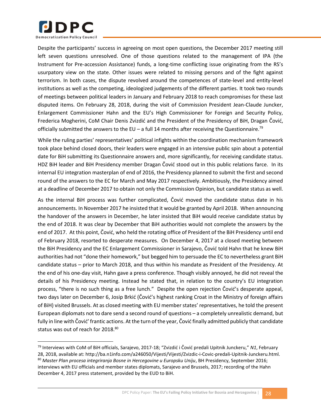

 $\overline{\phantom{a}}$ 

Despite the participants' success in agreeing on most open questions, the December 2017 meeting still left seven questions unresolved. One of those questions related to the management of IPA (the Instrument for Pre-accession Assistance) funds, a long-time conflicting issue originating from the RS's usurpatory view on the state. Other issues were related to missing persons and of the fight against terrorism. In both cases, the dispute revolved around the competences of state-level and entity-level institutions as well as the competing, ideologized judgements of the different parties. It took two rounds of meetings between political leaders in January and February 2018 to reach compromises for these last disputed items. On February 28, 2018, during the visit of Commission President Jean-Claude Juncker, Enlargement Commissioner Hahn and the EU's High Commissioner for Foreign and Security Policy, Frederica Mogherini, CoM Chair Denis Zvizdić and the President of the Presidency of BiH, Dragan Čović, officially submitted the answers to the EU – a full 14 months after receiving the Questionnaire.<sup>79</sup>

While the ruling parties' representatives' political infights within the coordination mechanism framework took place behind closed doors, their leaders were engaged in an intensive public spin about a potential date for BiH submitting its Questionnaire answers and, more significantly, for receiving candidate status. HDZ BiH leader and BiH Presidency member Dragan Čović stood out in this public relations farce. In its internal EU integration masterplan of end of 2016, the Presidency planned to submit the first and second round of the answers to the EC for March and May 2017 respectively. Ambitiously, the Presidency aimed at a deadline of December 2017 to obtain not only the Commission Opinion, but candidate status as well.

As the internal BiH process was further complicated, Čović moved the candidate status date in his announcements. In November 2017 he insisted that it would be granted by April 2018. When announcing the handover of the answers in December, he later insisted that BiH would receive candidate status by the end of 2018. It was clear by December that BiH authorities would not complete the answers by the end of 2017. At this point, Čović, who held the rotating office of President of the BiH Presidency until end of February 2018, resorted to desperate measures. On December 4, 2017 at a closed meeting between the BiH Presidency and the EC Enlargement Commissioner in Sarajevo, Čović told Hahn that he knew BiH authorities had not "done their homework," but begged him to persuade the EC to nevertheless grant BiH candidate status – prior to March 2018, and thus within his mandate as President of the Presidency. At the end of his one-day visit, Hahn gave a press conference. Though visibly annoyed, he did not reveal the details of his Presidency meeting. Instead he stated that, in relation to the country's EU integration process, "there is no such thing as a free lunch." Despite the open rejection Čović's desperate appeal, two days later on December 6, Josip Brkić (Čović's highest ranking Croat in the Ministry of foreign affairs of BiH) visited Brussels. At as closed meeting with EU member states' representatives, he told the present European diplomats not to dare send a second round of questions – a completely unrealistic demand, but fully in line with Čović' frantic actions. At the turn of the year, Čović finally admitted publicly that candidate status was out of reach for 2018.<sup>80</sup>

<sup>79</sup> Interviews with CoM of BiH officials, Sarajevo, 2017-18; "Zvizdić i Čović predali Upitnik Junckeru," *N1*, February 28, 2018, available at: http://ba.n1info.com/a246050/Vijesti/Vijesti/Zvizdic-i-Covic-predali-Upitnik-Junckeru.html. <sup>80</sup> Master Plan procesa integriranja Bosne in Hercegovine u Europsku Uniju, BH Presidency, September 2016; interviews with EU officials and member states diplomats, Sarajevo and Brussels, 2017; recording of the Hahn December 4, 2017 press statement, provided by the EUD to BiH.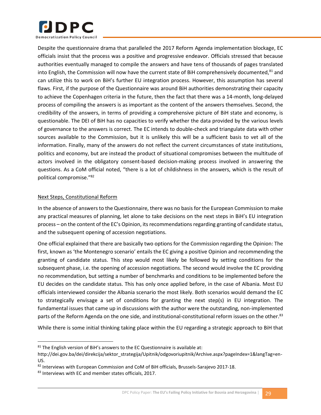

Despite the questionnaire drama that paralleled the 2017 Reform Agenda implementation blockage, EC officials insist that the process was a positive and progressive endeavor. Officials stressed that because authorities eventually managed to compile the answers and have tens of thousands of pages translated into English, the Commission will now have the current state of BiH comprehensively documented, $81$  and can utilize this to work on BiH's further EU integration process. However, this assumption has several flaws. First, if the purpose of the Questionnaire was around BiH authorities demonstrating their capacity to achieve the Copenhagen criteria in the future, then the fact that there was a 14-month, long-delayed process of compiling the answers is as important as the content of the answers themselves. Second, the credibility of the answers, in terms of providing a comprehensive picture of BiH state and economy, is questionable. The DEI of BiH has no capacities to verify whether the data provided by the various levels of governance to the answers is correct. The EC intends to double-check and triangulate data with other sources available to the Commission, but it is unlikely this will be a sufficient basis to vet all of the information. Finally, many of the answers do not reflect the current circumstances of state institutions, politics and economy, but are instead the product of situational compromises between the multitude of actors involved in the obligatory consent-based decision-making process involved in answering the questions. As a CoM official noted, "there is a lot of childishness in the answers, which is the result of political compromise."<sup>82</sup>

# <span id="page-37-0"></span>Next Steps, Constitutional Reform

In the absence of answers to the Questionnaire, there was no basis for the European Commission to make any practical measures of planning, let alone to take decisions on the next steps in BiH's EU integration process – on the content of the EC's Opinion, its recommendations regarding granting of candidate status, and the subsequent opening of accession negotiations.

One official explained that there are basically two options for the Commission regarding the Opinion: The first, known as 'the Montenegro scenario' entails the EC giving a positive Opinion and recommending the granting of candidate status. This step would most likely be followed by setting conditions for the subsequent phase, i.e. the opening of accession negotiations. The second would involve the EC providing no recommendation, but setting a number of benchmarks and conditions to be implemented before the EU decides on the candidate status. This has only once applied before, in the case of Albania. Most EU officials interviewed consider the Albania scenario the most likely. Both scenarios would demand the EC to strategically envisage a set of conditions for granting the next step(s) in EU integration. The fundamental issues that came up in discussions with the author were the outstanding, non-implemented parts of the Reform Agenda on the one side, and institutional-constitutional reform issues on the other.<sup>83</sup>

While there is some initial thinking taking place within the EU regarding a strategic approach to BiH that

 $81$  The English version of BiH's answers to the EC Questionnaire is available at:

http://dei.gov.ba/dei/direkcija/sektor\_strategija/Upitnik/odgovoriupitnik/Archive.aspx?pageIndex=1&langTag=en-US.

<sup>82</sup> Interviews with European Commission and CoM of BiH officials, Brussels-Sarajevo 2017-18.

<sup>83</sup> Interviews with EC and member states officials, 2017.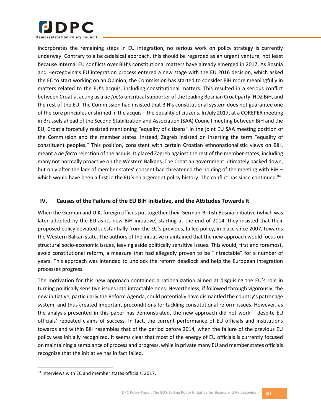

incorporates the remaining steps in EU integration, no serious work on policy strategy is currently underway. Contrary to a lackadaisical approach, this should be regarded as an urgent venture, not least because internal EU conflicts over BiH's constitutional matters have already emerged in 2017. As Bosnia and Herzegovina's EU integration process entered a new stage with the EU 2016 decision, which asked the EC to start working on an Opinion, the Commission has started to consider BiH more meaningfully in matters related to the EU's acquis, including constitutional matters. This resulted in a serious conflict between Croatia, acting as a *de facto* uncritical supporter of the leading Bosnian Croat party, HDZ BiH, and the rest of the EU. The Commission had insisted that BiH's constitutional system does not guarantee one of the core principles enshrined in the acquis – the equality of citizens. In July 2017, at a COREPER meeting in Brussels ahead of the Second Stabilization and Association (SAA) Council meeting between BiH and the EU, Croatia forcefully resisted mentioning "equality of citizens" in the joint EU SAA meeting position of the Commission and the member states. Instead, Zagreb insisted on inserting the term "equality of constituent peoples." This position, consistent with certain Croatian ethnonationalistic views on BiH, meant a *de facto* rejection of the acquis. It placed Zagreb against the rest of the member states, including many not normally proactive on the Western Balkans. The Croatian government ultimately backed down, but only after the lack of member states' consent had threatened the holding of the meeting with BiH – which would have been a first in the EU's enlargement policy history. The conflict has since continued.<sup>84</sup>

# <span id="page-38-0"></span>**IV. Causes of the Failure of the EU BiH Initiative, and the Attitudes Towards It**

When the German and U.K. foreign offices put together their German-British Bosnia initiative (which was later adopted by the EU as its new BiH initiative) starting at the end of 2014, they insisted that their proposed policy deviated substantially from the EU's previous, failed policy, in place since 2007, towards the Western Balkan state. The authors of the initiative maintained that the new approach would focus on structural socio-economic issues, leaving aside politically sensitive issues. This would, first and foremost, avoid constitutional reform, a measure that had allegedly proven to be "intractable" for a number of years. This approach was intended to unblock the reform deadlock and help the European integration processes progress.

The motivation for this new approach contained a rationalization aimed at disguising the EU's role in turning politically sensitive issues into intractable ones. Nevertheless, if followed through vigorously, the new initiative, particularly the Reform Agenda, could potentially have dismantled the country's patronage system, and thus created important preconditions for tackling constitutional reform issues. However, as the analysis presented in this paper has demonstrated, the new approach did not work – despite EU officials' repeated claims of success. In fact, the current performance of EU officials and institutions towards and within BiH resembles that of the period before 2014, when the failure of the previous EU policy was initially recognized. It seems clear that most of the energy of EU officials is currently focused on maintaining a semblance of process and progress, while in private many EU and member states officials recognize that the initiative has in fact failed.

 $\overline{a}$ 

<sup>84</sup> Interviews with EC and member states officials, 2017.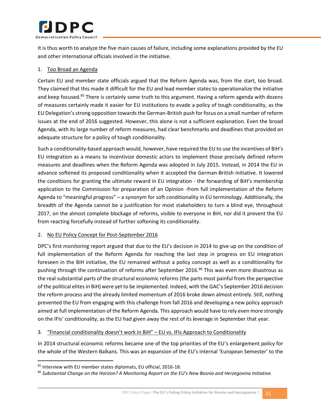

It is thus worth to analyze the five main causes of failure, including some explanations provided by the EU and other international officials involved in the initiative.

# 1. Too Broad an Agenda

Certain EU and member state officials argued that the Reform Agenda was, from the start, too broad. They claimed that this made it difficult for the EU and lead member states to operationalize the initiative and keep focused.<sup>85</sup> There is certainly some truth to this argument. Having a reform agenda with dozens of measures certainly made it easier for EU institutions to evade a policy of tough conditionality, as the EU Delegation's strong opposition towards the German-British push for focus on a small number of reform issues at the end of 2016 suggested. However, this alone is not a sufficient explanation. Even the broad Agenda, with its large number of reform measures, had clear benchmarks and deadlines that provided an adequate structure for a policy of tough conditionality.

Such a conditionality-based approach would, however, have required the EU to use the incentives of BiH's EU integration as a means to incentivize domestic actors to implement those precisely defined reform measures and deadlines when the Reform Agenda was adopted in July 2015. Instead, in 2014 the EU in advance softened its proposed conditionality when it accepted the German-British initiative. It lowered the conditions for granting the ultimate reward in EU integration - the forwarding of BiH's membership application to the Commission for preparation of an Opinion -from full implementation of the Reform Agenda to "meaningful progress" – a synonym for soft conditionality in EU terminology. Additionally, the breadth of the Agenda cannot be a justification for most stakeholders to turn a blind eye, throughout 2017, on the almost complete blockage of reforms, visible to everyone in BiH, nor did it prevent the EU from reacting forcefully instead of further softening its conditionality.

#### 2. No EU Policy Concept for Post-September 2016

DPC's first monitoring report argued that due to the EU's decision in 2014 to give up on the condition of full implementation of the Reform Agenda for reaching the last step in progress on EU integration foreseen in the BiH initiative, the EU remained without a policy concept as well as a conditionality for pushing through the continuation of reforms after September 2016.<sup>86</sup> This was even more disastrous as the real substantial parts of the structural economic reforms (the parts most painful from the perspective of the political elites in BiH) were yet to be implemented. Indeed, with the GAC's September 2016 decision the reform process and the already limited momentum of 2016 broke down almost entirely. Still, nothing prevented the EU from engaging with this challenge from fall 2016 and developing a new policy approach aimed at full implementation of the Reform Agenda. This approach would have to rely even more strongly on the IFIs' conditionality, as the EU had given away the rest of its leverage in September that year.

3. "Financial conditionality doesn't work in BiH" – EU vs. IFIs Approach to Conditionality

In 2014 structural economic reforms became one of the top priorities of the EU's enlargement policy for the whole of the Western Balkans. This was an expansion of the EU's internal 'European Semester' to the

<sup>85</sup> Interview with EU member states diplomats, EU official, 2016-18.

<sup>86</sup> *Substantial Change on the Horizon? A Monitoring Report on the EU's New Bosnia and Herzegovina Initiative.*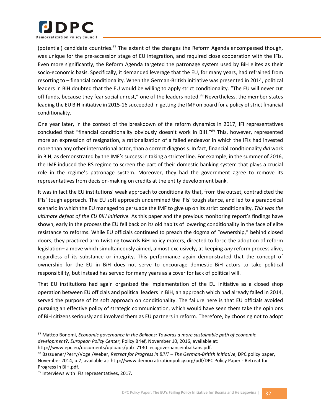

(potential) candidate countries.<sup>87</sup> The extent of the changes the Reform Agenda encompassed though, was unique for the pre-accession stage of EU integration, and required close cooperation with the IFIs. Even more significantly, the Reform Agenda targeted the patronage system used by BiH elites as their socio-economic basis. Specifically, it demanded leverage that the EU, for many years, had refrained from resorting to – financial conditionality. When the German-British initiative was presented in 2014, political leaders in BiH doubted that the EU would be willing to apply strict conditionality. "The EU will never cut off funds, because they fear social unrest," one of the leaders noted.<sup>88</sup> Nevertheless, the member states leading the EU BiH initiative in 2015-16 succeeded in getting the IMF on board for a policy of strict financial conditionality.

One year later, in the context of the breakdown of the reform dynamics in 2017, IFI representatives concluded that "financial conditionality obviously doesn't work in BiH."<sup>89</sup> This, however, represented more an expression of resignation, a rationalization of a failed endeavor in which the IFIs had invested more than any other international actor, than a correct diagnosis. In fact, financial conditionality *did* work in BiH, as demonstrated by the IMF's success in taking a stricter line. For example, in the summer of 2016, the IMF induced the RS regime to screen the part of their domestic banking system that plays a crucial role in the regime's patronage system. Moreover, they had the government agree to remove its representatives from decision-making on credits at the entity development bank.

It was in fact the EU institutions' weak approach to conditionality that, from the outset, contradicted the IFIs' tough approach. The EU soft approach undermined the IFIs' tough stance, and led to a paradoxical scenario in which the EU managed to persuade the IMF to give up on its strict conditionality. *This was the ultimate defeat of the EU BiH initiative.* As this paper and the previous monitoring report's findings have shown, early in the process the EU fell back on its old habits of lowering conditionality in the face of elite resistance to reforms. While EU officials continued to preach the dogma of "ownership," behind closed doors, they practiced arm-twisting towards BiH policy-makers, directed to force the adoption of reform legislation– a move which simultaneously aimed, almost exclusively, at keeping *any* reform process alive, regardless of its substance or integrity. This performance again demonstrated that the concept of ownership for the EU in BiH does not serve to encourage domestic BiH actors to take political responsibility, but instead has served for many years as a cover for lack of political will.

That EU institutions had again organized the implementation of the EU initiative as a closed shop operation between EU officials and political leaders in BiH, an approach which had already failed in 2014, served the purpose of its soft approach on conditionality. The failure here is that EU officials avoided pursuing an effective policy of strategic communication, which would have seen them take the opinions of BiH citizens seriously and involved them as EU partners in reform. Therefore, by choosing not to adopt

http://www.epc.eu/documents/uploads/pub\_7130\_ecogovernanceinbalkans.pdf.

<sup>87</sup> Matteo Bonomi, *Economic governance in the Balkans: Towards a more sustainable path of economic development*?, *European Policy Center*, Policy Brief, November 10, 2016, available at:

<sup>88</sup> Bassuener/Perry/Vogel/Weber, *Retreat for Progress in BiH? – The German-British Initiative*, DPC policy paper, November 2014, p.7; available at: http://www.democratizationpolicy.org/pdf/DPC Policy Paper - Retreat for Progress in BiH.pdf.

<sup>89</sup> Interviews with IFIs representatives, 2017.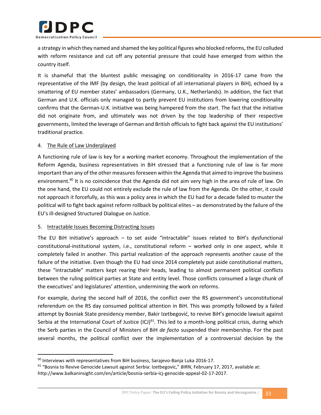

a strategy in which they named and shamed the key political figures who blocked reforms, the EU colluded with reform resistance and cut off any potential pressure that could have emerged from within the country itself.

It is shameful that the bluntest public messaging on conditionality in 2016-17 came from the representative of the IMF (by design, the least political of all international players in BiH), echoed by a smattering of EU member states' ambassadors (Germany, U.K., Netherlands). In addition, the fact that German and U.K. officials only managed to partly prevent EU institutions from lowering conditionality confirms that the German-U.K. initiative was being hampered from the start. The fact that the initiative did not originate from, and ultimately was not driven by the top leadership of their respective governments, limited the leverage of German and British officials to fight back against the EU institutions' traditional practice.

# 4. The Rule of Law Underplayed

 $\overline{a}$ 

A functioning rule of law is key for a working market economy. Throughout the implementation of the Reform Agenda, business representatives in BiH stressed that a functioning rule of law is far more important than any of the other measures foreseen within the Agenda that aimed to improve the business environment.<sup>90</sup> It is no coincidence that the Agenda did not aim very high in the area of rule of law. On the one hand, the EU could not entirely exclude the rule of law from the Agenda. On the other, it could not approach it forcefully, as this was a policy area in which the EU had for a decade failed to muster the political will to fight back against reform rollback by political elites – as demonstrated by the failure of the EU's ill-designed Structured Dialogue on Justice.

#### 5. Intractable Issues Becoming Distracting Issues

The EU BiH initiative's approach – to set aside "intractable" issues related to BiH's dysfunctional constitutional-institutional system, i.e., constitutional reform – worked only in one aspect, while it completely failed in another. This partial realization of the approach represents another cause of the failure of the initiative. Even though the EU had since 2014 completely put aside constitutional matters, these "intractable" matters kept rearing their heads, leading to almost permanent political conflicts between the ruling political parties at State and entity level. Those conflicts consumed a large chunk of the executives' and legislatures' attention, undermining the work on reforms.

For example, during the second half of 2016, the conflict over the RS government's unconstitutional referendum on the RS day consumed political attention in BiH. This was promptly followed by a failed attempt by Bosniak State presidency member, Bakir Izetbegović, to revive BiH's genocide lawsuit against Serbia at the International Court of Justice  $(ICJ)^{91}$ . This led to a month-long political crisis, during which the Serb parties in the Council of Ministers of BiH *de facto* suspended their membership. For the past several months, the political conflict over the implementation of a controversial decision by the

<sup>90</sup> Interviews with representatives from BiH business, Sarajevo-Banja Luka 2016-17.

<sup>91</sup> "Bosnia to Revive Genocide Lawsuit against Serbia: Izetbegovic," *BIRN*, February 17, 2017, available at: http://www.balkaninsight.com/en/article/bosnia-serbia-icj-genocide-appeal-02-17-2017.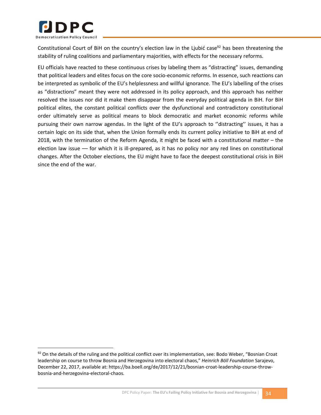

 $\overline{\phantom{a}}$ 

Constitutional Court of BiH on the country's election law in the Ljubić case<sup>92</sup> has been threatening the stability of ruling coalitions and parliamentary majorities, with effects for the necessary reforms.

EU officials have reacted to these continuous crises by labeling them as "distracting" issues, demanding that political leaders and elites focus on the core socio-economic reforms. In essence, such reactions can be interpreted as symbolic of the EU's helplessness and willful ignorance. The EU's labelling of the crises as "distractions" meant they were not addressed in its policy approach, and this approach has neither resolved the issues nor did it make them disappear from the everyday political agenda in BiH. For BiH political elites, the constant political conflicts over the dysfunctional and contradictory constitutional order ultimately serve as political means to block democratic and market economic reforms while pursuing their own narrow agendas. In the light of the EU's approach to ''distracting'' issues, it has a certain logic on its side that, when the Union formally ends its current policy initiative to BiH at end of 2018, with the termination of the Reform Agenda, it might be faced with a constitutional matter – the election law issue –– for which it is ill-prepared, as it has no policy nor any red lines on constitutional changes. After the October elections, the EU might have to face the deepest constitutional crisis in BiH since the end of the war.

 $92$  On the details of the ruling and the political conflict over its implementation, see: Bodo Weber, "Bosnian Croat leadership on course to throw Bosnia and Herzegovina into electoral chaos," *Heinrich Böll Foundation* Sarajevo, December 22, 2017, available at: https://ba.boell.org/de/2017/12/21/bosnian-croat-leadership-course-throwbosnia-and-herzegovina-electoral-chaos.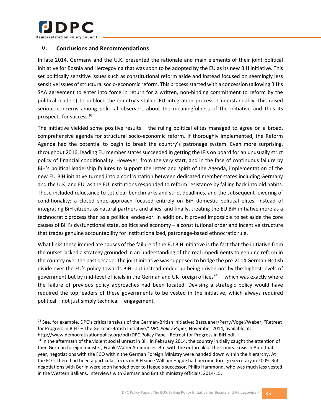

 $\overline{\phantom{a}}$ 

# <span id="page-43-0"></span>**V. Conclusions and Recommendations**

In late 2014, Germany and the U.K. presented the rationale and main elements of their joint political initiative for Bosnia and Herzegovina that was soon to be adopted by the EU as its new BiH initiative. This set politically sensitive issues such as constitutional reform aside and instead focused on seemingly less sensitive issues of structural socio-economic reform. This process started with a concession (allowing BiH's SAA agreement to enter into force in return for a written, non-binding commitment to reform by the political leaders) to unblock the country's stalled EU integration process. Understandably, this raised serious concerns among political observers about the meaningfulness of the initiative and thus its prospects for success.<sup>93</sup>

The initiative yielded some positive results  $-$  the ruling political elites managed to agree on a broad, comprehensive agenda for structural socio-economic reform. If thoroughly implemented, the Reform Agenda had the potential to begin to break the country's patronage system. Even more surprising, throughout 2016, leading EU member states succeeded in getting the IFIs on board for an unusually strict policy of financial conditionality. However, from the very start, and in the face of continuous failure by BiH's political leadership failures to support the letter and spirit of the Agenda, implementation of the new EU BiH initiative turned into a confrontation between dedicated member states including Germany and the U.K. and EU, as the EU institutions responded to reform resistance by falling back into old habits. These included reluctance to set clear benchmarks and strict deadlines, and the subsequent lowering of conditionality; a closed shop-approach focused entirely on BiH domestic political elites, instead of integrating BiH citizens as natural partners and allies; and finally, treating the EU BiH initiative more as a technocratic process than as a political endeavor. In addition, it proved impossible to set aside the core causes of BiH's dysfunctional state, politics and economy – a constitutional order and incentive structure that trades genuine accountability for institutionalized, patronage-based ethnocratic rule.

What links these immediate causes of the failure of the EU BiH initiative is the fact that the initiative from the outset lacked a strategy grounded in an understanding of the real impediments to genuine reform in the country over the past decade. The joint initiative was supposed to bridge the pre-2014 German-British divide over the EU's policy towards BiH, but instead ended up being driven not by the highest levels of government but by mid-level officials in the German and UK foreign offices<sup>94</sup> – which was exactly where the failure of previous policy approaches had been located. Devising a strategic policy would have required the top leaders of these governments to be vested in the initiative, which always required political – not just simply technical – engagement.

<sup>93</sup> See, for example, DPC's critical analysis of the German-British initiative: Bassuener/Perry/Vogel/Weber, "Retreat for Progress in BiH? – The German-British Initiative," *DPC Policy Paper*, November 2014, available at: http://www.democratizationpolicy.org/pdf/DPC Policy Pape - Retreat for Progress in BiH.pdf.

 $94$  In the aftermath of the violent social unrest in BiH in February 2014, the country initially caught the attention of then German foreign minister, Frank-Walter Steinmeier. But with the outbreak of the Crimea crisis in April that year, negotiations with the FCO within the German Foreign Ministry were handed down within the hierarchy. At the FCO, there had been a particular focus on BiH since William Hague had become foreign secretary in 2009. But negotiations with Berlin were soon handed over to Hague's successor, Philip Hammond, who was much less vested in the Western Balkans. Interviews with German and British ministry officials, 2014-15.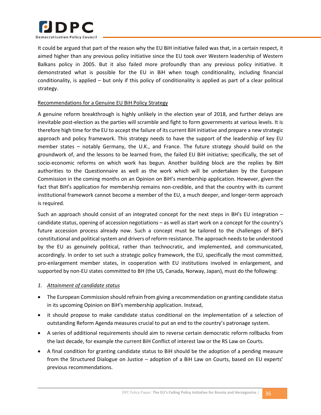

It could be argued that part of the reason why the EU BiH initiative failed was that, in a certain respect, it aimed higher than any previous policy initiative since the EU took over Western leadership of Western Balkans policy in 2005. But it also failed more profoundly than any previous policy initiative. It demonstrated what is possible for the EU in BiH when tough conditionality, including financial conditionality, is applied – but only if this policy of conditionality is applied as part of a clear political strategy.

#### <span id="page-44-0"></span>Recommendations for a Genuine EU BiH Policy Strategy

A genuine reform breakthrough is highly unlikely in the election year of 2018, and further delays are inevitable post-election as the parties will scramble and fight to form governments at various levels. It is therefore high time for the EU to accept the failure of its current BiH initiative and prepare a new strategic approach and policy framework. This strategy needs to have the support of the leadership of key EU member states – notably Germany, the U.K., and France. The future strategy should build on the groundwork of, and the lessons to be learned from, the failed EU BiH initiative; specifically, the set of socio-economic reforms on which work has begun. Another building block are the replies by BiH authorities to the Questionnaire as well as the work which will be undertaken by the European Commission in the coming months on an Opinion on BiH's membership application. However, given the fact that BiH's application for membership remains non-credible, and that the country with its current institutional framework cannot become a member of the EU, a much deeper, and longer-term approach is required.

Such an approach should consist of an integrated concept for the next steps in BH's EU integration – candidate status, opening of accession negotiations – as well as start work on a concept for the country's future accession process already now. Such a concept must be tailored to the challenges of BiH's constitutional and political system and drivers of reform resistance. The approach needs to be understood by the EU as genuinely political, rather than technocratic, and implemented, and communicated, accordingly. In order to set such a strategic policy framework, the EU, specifically the most committed, pro-enlargement member states, in cooperation with EU institutions involved in enlargement, and supported by non-EU states committed to BH (the US, Canada, Norway, Japan), must do the following:

#### *1. Attainment of candidate status*

- The European Commission should refrain from giving a recommendation on granting candidate status in its upcoming Opinion on BiH's membership application. Instead,
- it should propose to make candidate status conditional on the implementation of a selection of outstanding Reform Agenda measures crucial to put an end to the country's patronage system.
- A series of additional requirements should aim to reverse certain democratic reform rollbacks from the last decade, for example the current BiH Conflict of interest law or the RS Law on Courts.
- A final condition for granting candidate status to BiH should be the adoption of a pending measure from the Structured Dialogue on Justice – adoption of a BiH Law on Courts, based on EU experts' previous recommendations.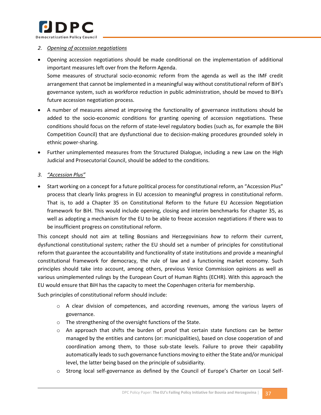

#### *2. Opening of accession negotiations*

future accession negotiation process.

- Opening accession negotiations should be made conditional on the implementation of additional important measures left over from the Reform Agenda. Some measures of structural socio-economic reform from the agenda as well as the IMF credit arrangement that cannot be implemented in a meaningful way without constitutional reform of BiH's governance system, such as workforce reduction in public administration, should be moved to BiH's
- A number of measures aimed at improving the functionality of governance institutions should be added to the socio-economic conditions for granting opening of accession negotiations. These conditions should focus on the reform of state-level regulatory bodies (such as, for example the BiH Competition Council) that are dysfunctional due to decision-making procedures grounded solely in ethnic power-sharing.
- Further unimplemented measures from the Structured Dialogue, including a new Law on the High Judicial and Prosecutorial Council, should be added to the conditions.
- *3. "Accession Plus"*
- Start working on a concept for a future political process for constitutional reform, an "Accession Plus" process that clearly links progress in EU accession to meaningful progress in constitutional reform. That is, to add a Chapter 35 on Constitutional Reform to the future EU Accession Negotiation framework for BiH. This would include opening, closing and interim benchmarks for chapter 35, as well as adopting a mechanism for the EU to be able to freeze accession negotiations if there was to be insufficient progress on constitutional reform.

This concept should not aim at telling Bosnians and Herzegovinians *how* to reform their current, dysfunctional constitutional system; rather the EU should set a number of principles for constitutional reform that guarantee the accountability and functionality of state institutions and provide a meaningful constitutional framework for democracy, the rule of law and a functioning market economy. Such principles should take into account, among others, previous Venice Commission opinions as well as various unimplemented rulings by the European Court of Human Rights (ECHR). With this approach the EU would ensure that BiH has the capacity to meet the Copenhagen criteria for membership.

Such principles of constitutional reform should include:

- $\circ$  A clear division of competences, and according revenues, among the various layers of governance.
- o The strengthening of the oversight functions of the State.
- $\circ$  An approach that shifts the burden of proof that certain state functions can be better managed by the entities and cantons (or: municipalities), based on close cooperation of and coordination among them, to those sub-state levels. Failure to prove their capability automatically leads to such governance functions moving to either the State and/or municipal level, the latter being based on the principle of subsidiarity.
- o Strong local self-governance as defined by the Council of Europe's Charter on Local Self-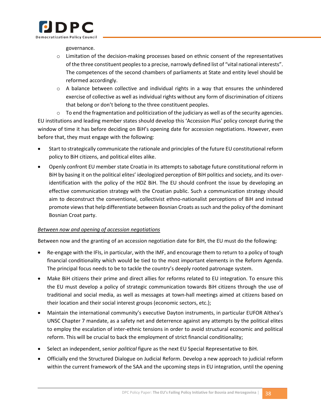

governance.

- $\circ$  Limitation of the decision-making processes based on ethnic consent of the representatives of the three constituent peoples to a precise, narrowly defined list of "vital national interests". The competences of the second chambers of parliaments at State and entity level should be reformed accordingly.
- $\circ$  A balance between collective and individual rights in a way that ensures the unhindered exercise of collective as well as individual rights without any form of discrimination of citizens that belong or don't belong to the three constituent peoples.

 $\circ$  To end the fragmentation and politicization of the judiciary as well as of the security agencies. EU institutions and leading member states should develop this 'Accession Plus' policy concept during the window of time it has before deciding on BiH's opening date for accession negotiations. However, even before that, they must engage with the following:

- Start to strategically communicate the rationale and principles of the future EU constitutional reform policy to BiH citizens, and political elites alike.
- Openly confront EU member state Croatia in its attempts to sabotage future constitutional reform in BiH by basing it on the political elites' ideologized perception of BiH politics and society, and its overidentification with the policy of the HDZ BiH. The EU should confront the issue by developing an effective communication strategy with the Croatian public. Such a communication strategy should aim to deconstruct the conventional, collectivist ethno-nationalist perceptions of BiH and instead promote views that help differentiate between Bosnian Croats as such and the policy of the dominant Bosnian Croat party.

# *Between now and opening of accession negotiations*

Between now and the granting of an accession negotiation date for BiH, the EU must do the following:

- Re-engage with the IFIs, in particular, with the IMF, and encourage them to return to a policy of tough financial conditionality which would be tied to the most important elements in the Reform Agenda. The principal focus needs to be to tackle the country's deeply rooted patronage system.
- Make BiH citizens their prime and direct allies for reforms related to EU integration. To ensure this the EU must develop a policy of strategic communication towards BiH citizens through the use of traditional and social media, as well as messages at town-hall meetings aimed at citizens based on their location and their social interest groups (economic sectors, etc.);
- Maintain the international community's executive Dayton instruments, in particular EUFOR Althea's UNSC Chapter 7 mandate, as a safety net and deterrence against any attempts by the political elites to employ the escalation of inter-ethnic tensions in order to avoid structural economic and political reform. This will be crucial to back the employment of strict financial conditionality;
- Select an independent, senior *political* figure as the next EU Special Representative to BiH.
- Officially end the Structured Dialogue on Judicial Reform. Develop a new approach to judicial reform within the current framework of the SAA and the upcoming steps in EU integration, until the opening